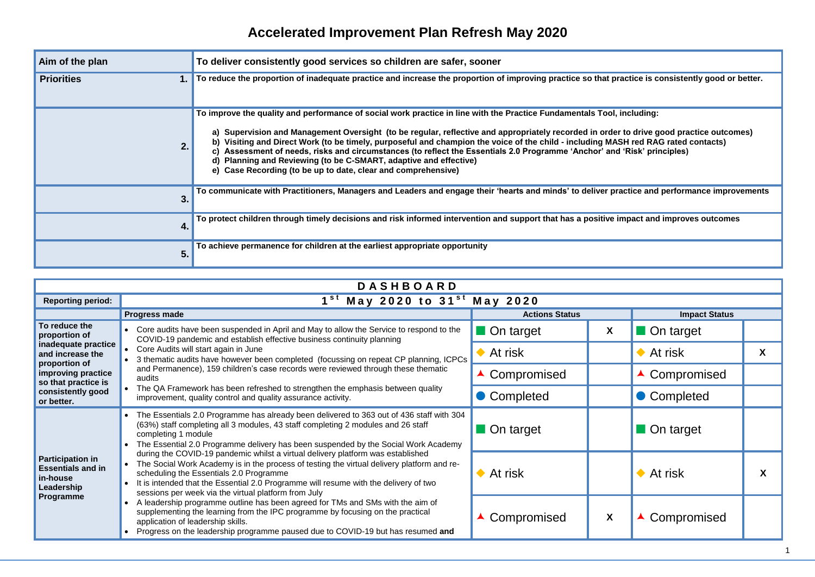## **Accelerated Improvement Plan Refresh May 2020**

| Aim of the plan   | To deliver consistently good services so children are safer, sooner                                                                                                                                                                                                                                                                                                                                                                                                                                                                                                                                                                                                       |
|-------------------|---------------------------------------------------------------------------------------------------------------------------------------------------------------------------------------------------------------------------------------------------------------------------------------------------------------------------------------------------------------------------------------------------------------------------------------------------------------------------------------------------------------------------------------------------------------------------------------------------------------------------------------------------------------------------|
| <b>Priorities</b> | To reduce the proportion of inadequate practice and increase the proportion of improving practice so that practice is consistently good or better.                                                                                                                                                                                                                                                                                                                                                                                                                                                                                                                        |
| 2.                | To improve the quality and performance of social work practice in line with the Practice Fundamentals Tool, including:<br>Supervision and Management Oversight (to be regular, reflective and appropriately recorded in order to drive good practice outcomes)<br>Visiting and Direct Work (to be timely, purposeful and champion the voice of the child - including MASH red RAG rated contacts)<br>b)<br>c) Assessment of needs, risks and circumstances (to reflect the Essentials 2.0 Programme 'Anchor' and 'Risk' principles)<br>d) Planning and Reviewing (to be C-SMART, adaptive and effective)<br>e) Case Recording (to be up to date, clear and comprehensive) |
| 3.                | To communicate with Practitioners, Managers and Leaders and engage their 'hearts and minds' to deliver practice and performance improvemen                                                                                                                                                                                                                                                                                                                                                                                                                                                                                                                                |
| 4.                | To protect children through timely decisions and risk informed intervention and support that has a positive impact and improves outcomes                                                                                                                                                                                                                                                                                                                                                                                                                                                                                                                                  |
| 5.                | To achieve permanence for children at the earliest appropriate opportunity                                                                                                                                                                                                                                                                                                                                                                                                                                                                                                                                                                                                |

**To communicate with Practitioners, Managers and Leaders and engage their 'hearts and minds' to deliver practice and performance improvements**

| May 2020                 |   |                         |   |  |  |  |  |  |
|--------------------------|---|-------------------------|---|--|--|--|--|--|
| <b>Actions Status</b>    |   | <b>Impact Status</b>    |   |  |  |  |  |  |
| $\blacksquare$ On target | X | On target               |   |  |  |  |  |  |
| $\blacklozenge$ At risk  |   | $\blacklozenge$ At risk | X |  |  |  |  |  |
| ▲ Compromised            |   | ▲ Compromised           |   |  |  |  |  |  |
| • Completed              |   | Completed               |   |  |  |  |  |  |
| On target                |   | On target               |   |  |  |  |  |  |
| $\blacklozenge$ At risk  |   | $\blacklozenge$ At risk | X |  |  |  |  |  |
| ▲ Compromised            | X | ▲ Compromised           |   |  |  |  |  |  |

| <b>DASHBOARD</b>                                                              |                                                                                                                                                                                                                                                                                                                                                                          |                       |   |                      |  |  |  |  |  |  |  |  |  |
|-------------------------------------------------------------------------------|--------------------------------------------------------------------------------------------------------------------------------------------------------------------------------------------------------------------------------------------------------------------------------------------------------------------------------------------------------------------------|-----------------------|---|----------------------|--|--|--|--|--|--|--|--|--|
| <b>Reporting period:</b>                                                      | $1st$ May 2020 to 31 <sup>st</sup> May 2020                                                                                                                                                                                                                                                                                                                              |                       |   |                      |  |  |  |  |  |  |  |  |  |
|                                                                               | Progress made                                                                                                                                                                                                                                                                                                                                                            | <b>Actions Status</b> |   | <b>Impact Status</b> |  |  |  |  |  |  |  |  |  |
| To reduce the<br>proportion of                                                | Core audits have been suspended in April and May to allow the Service to respond to the<br>COVID-19 pandemic and establish effective business continuity planning                                                                                                                                                                                                        | On target             | X | On target            |  |  |  |  |  |  |  |  |  |
| inadequate practice<br>and increase the<br>proportion of                      | Core Audits will start again in June<br>3 thematic audits have however been completed (focussing on repeat CP planning, ICPCs                                                                                                                                                                                                                                            | At risk               |   | At risk              |  |  |  |  |  |  |  |  |  |
| improving practice<br>so that practice is                                     | and Permanence), 159 children's case records were reviewed through these thematic<br>audits                                                                                                                                                                                                                                                                              | Compromised           |   | ▲ Compromised        |  |  |  |  |  |  |  |  |  |
| consistently good<br>or better.                                               | The QA Framework has been refreshed to strengthen the emphasis between quality<br>improvement, quality control and quality assurance activity.                                                                                                                                                                                                                           | Completed             |   | Completed            |  |  |  |  |  |  |  |  |  |
|                                                                               | The Essentials 2.0 Programme has already been delivered to 363 out of 436 staff with 304<br>(63%) staff completing all 3 modules, 43 staff completing 2 modules and 26 staff<br>completing 1 module<br>The Essential 2.0 Programme delivery has been suspended by the Social Work Academy                                                                                | On target             |   | On target            |  |  |  |  |  |  |  |  |  |
| <b>Participation in</b><br><b>Essentials and in</b><br>in-house<br>Leadership | during the COVID-19 pandemic whilst a virtual delivery platform was established<br>The Social Work Academy is in the process of testing the virtual delivery platform and re-<br>scheduling the Essentials 2.0 Programme<br>It is intended that the Essential 2.0 Programme will resume with the delivery of two<br>sessions per week via the virtual platform from July | At risk               |   | At risk              |  |  |  |  |  |  |  |  |  |
| Programme                                                                     | A leadership programme outline has been agreed for TMs and SMs with the aim of<br>supplementing the learning from the IPC programme by focusing on the practical<br>application of leadership skills.<br>Progress on the leadership programme paused due to COVID-19 but has resumed and                                                                                 | Compromised           | X | Compromised          |  |  |  |  |  |  |  |  |  |

| ractice is consistently good or better. |  |
|-----------------------------------------|--|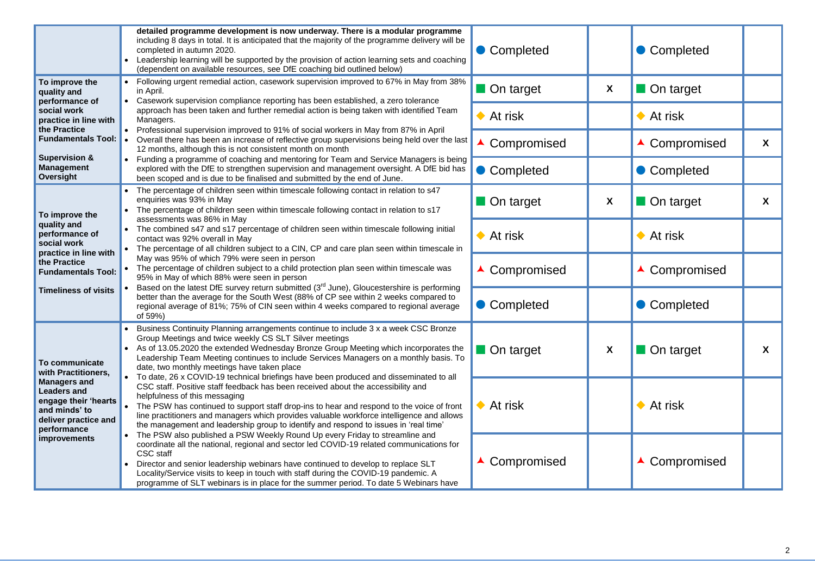|                                                                                                                           | detailed programme development is now underway. There is a modular programme<br>including 8 days in total. It is anticipated that the majority of the programme delivery will be<br>completed in autumn 2020.<br>Leadership learning will be supported by the provision of action learning sets and coaching<br>(dependent on available resources, see DfE coaching bid outlined below)                                                                                                      | Completed                   |   |
|---------------------------------------------------------------------------------------------------------------------------|----------------------------------------------------------------------------------------------------------------------------------------------------------------------------------------------------------------------------------------------------------------------------------------------------------------------------------------------------------------------------------------------------------------------------------------------------------------------------------------------|-----------------------------|---|
| To improve the<br>quality and                                                                                             | Following urgent remedial action, casework supervision improved to 67% in May from 38%<br>in April.                                                                                                                                                                                                                                                                                                                                                                                          | On target                   | X |
| performance of<br>social work<br>practice in line with                                                                    | Casework supervision compliance reporting has been established, a zero tolerance<br>$\bullet$<br>approach has been taken and further remedial action is being taken with identified Team<br>Managers.                                                                                                                                                                                                                                                                                        | At risk<br>$\bullet$        |   |
| the Practice<br><b>Fundamentals Tool:</b>                                                                                 | Professional supervision improved to 91% of social workers in May from 87% in April<br>$\bullet$<br>Overall there has been an increase of reflective group supervisions being held over the last<br>12 months, although this is not consistent month on month                                                                                                                                                                                                                                | Compromised                 |   |
| <b>Supervision &amp;</b><br><b>Management</b><br><b>Oversight</b>                                                         | Funding a programme of coaching and mentoring for Team and Service Managers is being<br>explored with the DfE to strengthen supervision and management oversight. A DfE bid has<br>been scoped and is due to be finalised and submitted by the end of June.                                                                                                                                                                                                                                  | Completed<br>$\blacksquare$ |   |
| To improve the                                                                                                            | The percentage of children seen within timescale following contact in relation to s47<br>enquiries was 93% in May<br>The percentage of children seen within timescale following contact in relation to s17                                                                                                                                                                                                                                                                                   | On target                   | X |
| quality and<br>performance of<br>social work<br>practice in line with<br>the Practice<br><b>Fundamentals Tool:</b>        | assessments was 86% in May<br>The combined s47 and s17 percentage of children seen within timescale following initial<br>contact was 92% overall in May<br>The percentage of all children subject to a CIN, CP and care plan seen within timescale in<br>$\bullet$                                                                                                                                                                                                                           | At risk<br>$\bullet$        |   |
|                                                                                                                           | May was 95% of which 79% were seen in person<br>The percentage of children subject to a child protection plan seen within timescale was<br>95% in May of which 88% were seen in person                                                                                                                                                                                                                                                                                                       | Compromised                 |   |
| <b>Timeliness of visits</b>                                                                                               | Based on the latest DfE survey return submitted $(3rd$ June), Gloucestershire is performing<br>better than the average for the South West (88% of CP see within 2 weeks compared to<br>regional average of 81%; 75% of CIN seen within 4 weeks compared to regional average<br>of 59%)                                                                                                                                                                                                       | Completed                   |   |
| To communicate<br>with Practitioners,                                                                                     | Business Continuity Planning arrangements continue to include 3 x a week CSC Bronze<br>Group Meetings and twice weekly CS SLT Silver meetings<br>• As of 13.05.2020 the extended Wednesday Bronze Group Meeting which incorporates the<br>Leadership Team Meeting continues to include Services Managers on a monthly basis. To<br>date, two monthly meetings have taken place                                                                                                               | On target                   | X |
| <b>Managers and</b><br><b>Leaders and</b><br>engage their 'hearts<br>and minds' to<br>deliver practice and<br>performance | To date, 26 x COVID-19 technical briefings have been produced and disseminated to all<br>CSC staff. Positive staff feedback has been received about the accessibility and<br>helpfulness of this messaging<br>The PSW has continued to support staff drop-ins to hear and respond to the voice of front<br>line practitioners and managers which provides valuable workforce intelligence and allows<br>the management and leadership group to identify and respond to issues in 'real time' | At risk<br>$\bullet$        |   |
| improvements                                                                                                              | The PSW also published a PSW Weekly Round Up every Friday to streamline and<br>coordinate all the national, regional and sector led COVID-19 related communications for<br><b>CSC</b> staff<br>Director and senior leadership webinars have continued to develop to replace SLT<br>Locality/Service visits to keep in touch with staff during the COVID-19 pandemic. A<br>programme of SLT webinars is in place for the summer period. To date 5 Webinars have                               | Compromised                 |   |

| Completed                     |   |
|-------------------------------|---|
| On target                     |   |
| $\blacktriangleright$ At risk |   |
| ▲ Compromised                 | X |
| Completed                     |   |
| On target                     | X |
| $\bullet$ At risk             |   |
| ▲ Compromised                 |   |
| Completed                     |   |
| On target                     | X |
| $\bullet$ At risk             |   |
| Compromised                   |   |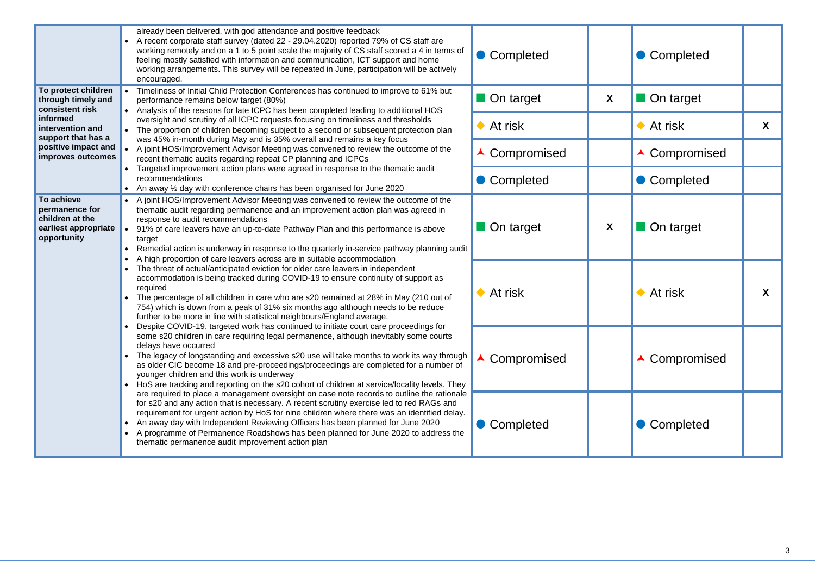|                                                                                        | already been delivered, with god attendance and positive feedback<br>A recent corporate staff survey (dated 22 - 29.04.2020) reported 79% of CS staff are<br>working remotely and on a 1 to 5 point scale the majority of CS staff scored a 4 in terms of<br>feeling mostly satisfied with information and communication, ICT support and home<br>working arrangements. This survey will be repeated in June, participation will be actively<br>encouraged.                                                                               | Completed               |   |
|----------------------------------------------------------------------------------------|-------------------------------------------------------------------------------------------------------------------------------------------------------------------------------------------------------------------------------------------------------------------------------------------------------------------------------------------------------------------------------------------------------------------------------------------------------------------------------------------------------------------------------------------|-------------------------|---|
| To protect children<br>through timely and<br>consistent risk                           | Timeliness of Initial Child Protection Conferences has continued to improve to 61% but<br>performance remains below target (80%)<br>Analysis of the reasons for late ICPC has been completed leading to additional HOS                                                                                                                                                                                                                                                                                                                    | On target               | X |
| informed<br>intervention and<br>support that has a                                     | oversight and scrutiny of all ICPC requests focusing on timeliness and thresholds<br>The proportion of children becoming subject to a second or subsequent protection plan<br>was 45% in-month during May and is 35% overall and remains a key focus                                                                                                                                                                                                                                                                                      | $\blacklozenge$ At risk |   |
| positive impact and<br>improves outcomes                                               | A joint HOS/Improvement Advisor Meeting was convened to review the outcome of the<br>recent thematic audits regarding repeat CP planning and ICPCs                                                                                                                                                                                                                                                                                                                                                                                        | ▲ Compromised           |   |
|                                                                                        | Targeted improvement action plans were agreed in response to the thematic audit<br>recommendations<br>An away 1/2 day with conference chairs has been organised for June 2020                                                                                                                                                                                                                                                                                                                                                             | Completed               |   |
| To achieve<br>permanence for<br>children at the<br>earliest appropriate<br>opportunity | A joint HOS/Improvement Advisor Meeting was convened to review the outcome of the<br>thematic audit regarding permanence and an improvement action plan was agreed in<br>response to audit recommendations<br>91% of care leavers have an up-to-date Pathway Plan and this performance is above<br>target<br>Remedial action is underway in response to the quarterly in-service pathway planning audit<br>$\bullet$                                                                                                                      | On target               | X |
|                                                                                        | A high proportion of care leavers across are in suitable accommodation<br>The threat of actual/anticipated eviction for older care leavers in independent<br>accommodation is being tracked during COVID-19 to ensure continuity of support as<br>required<br>The percentage of all children in care who are s20 remained at 28% in May (210 out of<br>754) which is down from a peak of 31% six months ago although needs to be reduce<br>further to be more in line with statistical neighbours/England average.                        | $\blacklozenge$ At risk |   |
|                                                                                        | Despite COVID-19, targeted work has continued to initiate court care proceedings for<br>some s20 children in care requiring legal permanence, although inevitably some courts<br>delays have occurred<br>The legacy of longstanding and excessive s20 use will take months to work its way through<br>as older CIC become 18 and pre-proceedings/proceedings are completed for a number of<br>younger children and this work is underway<br>HoS are tracking and reporting on the s20 cohort of children at service/locality levels. They | Compromised             |   |
|                                                                                        | are required to place a management oversight on case note records to outline the rationale<br>for s20 and any action that is necessary. A recent scrutiny exercise led to red RAGs and<br>requirement for urgent action by HoS for nine children where there was an identified delay.<br>An away day with Independent Reviewing Officers has been planned for June 2020<br>A programme of Permanence Roadshows has been planned for June 2020 to address the<br>thematic permanence audit improvement action plan                         | Completed               |   |

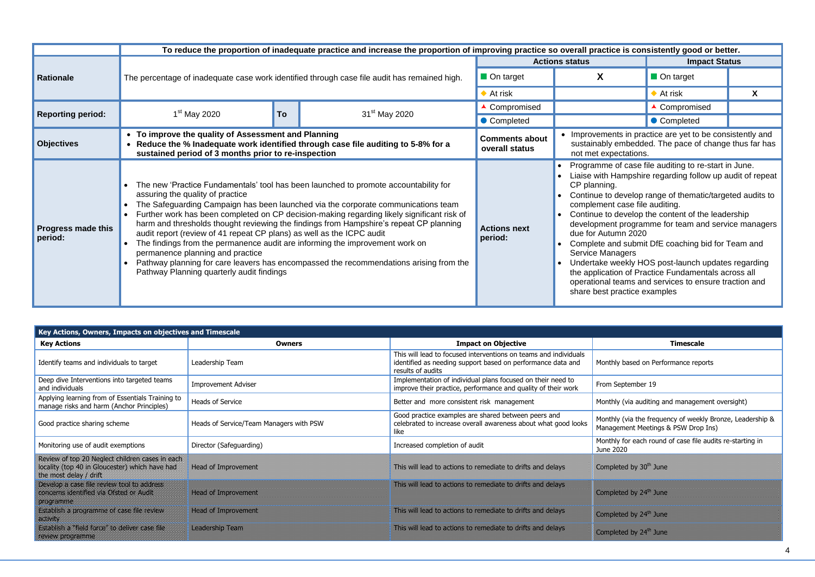|                                      |                                                                                                                                                                                                                                                                                                           |    | To reduce the proportion of inadequate practice and increase the proportion of improving practice so overall practice is consistently good or better.                                                                                                                                                                                                                                                                                                       |                                         |                                                                                                                                             |                                                                                                                                                                                                                                                                                                                                                                                                                                                                                                                      |    |  |  |
|--------------------------------------|-----------------------------------------------------------------------------------------------------------------------------------------------------------------------------------------------------------------------------------------------------------------------------------------------------------|----|-------------------------------------------------------------------------------------------------------------------------------------------------------------------------------------------------------------------------------------------------------------------------------------------------------------------------------------------------------------------------------------------------------------------------------------------------------------|-----------------------------------------|---------------------------------------------------------------------------------------------------------------------------------------------|----------------------------------------------------------------------------------------------------------------------------------------------------------------------------------------------------------------------------------------------------------------------------------------------------------------------------------------------------------------------------------------------------------------------------------------------------------------------------------------------------------------------|----|--|--|
|                                      |                                                                                                                                                                                                                                                                                                           |    |                                                                                                                                                                                                                                                                                                                                                                                                                                                             |                                         | <b>Actions status</b>                                                                                                                       | <b>Impact Status</b>                                                                                                                                                                                                                                                                                                                                                                                                                                                                                                 |    |  |  |
| <b>Rationale</b>                     |                                                                                                                                                                                                                                                                                                           |    | The percentage of inadequate case work identified through case file audit has remained high.                                                                                                                                                                                                                                                                                                                                                                | On target                               | X                                                                                                                                           | On target                                                                                                                                                                                                                                                                                                                                                                                                                                                                                                            |    |  |  |
|                                      |                                                                                                                                                                                                                                                                                                           |    |                                                                                                                                                                                                                                                                                                                                                                                                                                                             | $\blacktriangleright$ At risk           |                                                                                                                                             | $\blacktriangleright$ At risk                                                                                                                                                                                                                                                                                                                                                                                                                                                                                        | X. |  |  |
| <b>Reporting period:</b>             | $1st$ May 2020                                                                                                                                                                                                                                                                                            | To | 31 <sup>st</sup> May 2020                                                                                                                                                                                                                                                                                                                                                                                                                                   | Compromised                             |                                                                                                                                             | ▲ Compromised                                                                                                                                                                                                                                                                                                                                                                                                                                                                                                        |    |  |  |
|                                      |                                                                                                                                                                                                                                                                                                           |    |                                                                                                                                                                                                                                                                                                                                                                                                                                                             | • Completed                             |                                                                                                                                             | • Completed                                                                                                                                                                                                                                                                                                                                                                                                                                                                                                          |    |  |  |
| <b>Objectives</b>                    | • To improve the quality of Assessment and Planning<br>$\bullet$<br>sustained period of 3 months prior to re-inspection                                                                                                                                                                                   |    | Reduce the % Inadequate work identified through case file auditing to 5-8% for a                                                                                                                                                                                                                                                                                                                                                                            | <b>Comments about</b><br>overall status | • Improvements in practice are yet to be consistently and<br>sustainably embedded. The pace of change thus far has<br>not met expectations. |                                                                                                                                                                                                                                                                                                                                                                                                                                                                                                                      |    |  |  |
| <b>Progress made this</b><br>period: | $\overline{a}$<br>assuring the quality of practice<br>audit report (review of 41 repeat CP plans) as well as the ICPC audit<br>The findings from the permanence audit are informing the improvement work on<br>permanence planning and practice<br>$\bullet$<br>Pathway Planning quarterly audit findings |    | The new 'Practice Fundamentals' tool has been launched to promote accountability for<br>The Safeguarding Campaign has been launched via the corporate communications team<br>Further work has been completed on CP decision-making regarding likely significant risk of<br>harm and thresholds thought reviewing the findings from Hampshire's repeat CP planning<br>Pathway planning for care leavers has encompassed the recommendations arising from the | <b>Actions next</b><br>period:          | CP planning.<br>complement case file auditing.<br>due for Autumn 2020<br><b>Service Managers</b><br>share best practice examples            | Programme of case file auditing to re-start in June.<br>Liaise with Hampshire regarding follow up audit of repeat<br>Continue to develop range of thematic/targeted audits to<br>Continue to develop the content of the leadership<br>development programme for team and service managers<br>Complete and submit DfE coaching bid for Team and<br>Undertake weekly HOS post-launch updates regarding<br>the application of Practice Fundamentals across all<br>operational teams and services to ensure traction and |    |  |  |

## ly based on Performance reports September 19 ly (via auditing and management oversight) ly (via the frequency of weekly Bronze, Leadership & Management Meetings & PSW Drop Ins) Iv for each round of case file audits re-starting in  $.020$ eted by 30<sup>th</sup> June Completed by 24th June

| Key Actions, Owners, Impacts on objectives and Timescale                                                                                                           |                                                                                                                       |                                                                                                                                                      |                                                                                                                      |
|--------------------------------------------------------------------------------------------------------------------------------------------------------------------|-----------------------------------------------------------------------------------------------------------------------|------------------------------------------------------------------------------------------------------------------------------------------------------|----------------------------------------------------------------------------------------------------------------------|
| <b>Key Actions</b>                                                                                                                                                 | <b>Owners</b>                                                                                                         | <b>Impact on Objective</b>                                                                                                                           | <b>Timescale</b>                                                                                                     |
| Identify teams and individuals to target                                                                                                                           | Leadership Team                                                                                                       | This will lead to focused interventions on teams and individuals<br>identified as needing support based on performance data and<br>results of audits | Monthly based on Performance repo                                                                                    |
| Deep dive Interventions into targeted teams<br>and individuals                                                                                                     | <b>Improvement Adviser</b>                                                                                            | Implementation of individual plans focused on their need to<br>improve their practice, performance and quality of their work                         | From September 19                                                                                                    |
| Applying learning from of Essentials Training to<br>manage risks and harm (Anchor Principles)                                                                      | Heads of Service                                                                                                      | Better and more consistent risk management                                                                                                           | Monthly (via auditing and managem                                                                                    |
| Good practice sharing scheme                                                                                                                                       | Heads of Service/Team Managers with PSW                                                                               | Good practice examples are shared between peers and<br>celebrated to increase overall awareness about what good looks<br>like                        | Monthly (via the frequency of week<br>Management Meetings & PSW Drop                                                 |
| Monitoring use of audit exemptions                                                                                                                                 | Director (Safeguarding)                                                                                               | Increased completion of audit                                                                                                                        | Monthly for each round of case file<br>June 2020                                                                     |
| Review of top 20 Neglect children cases in each<br>locality (top 40 in Gloucester) which have had<br>the most delay / drift                                        | <b>Head of Improvement</b>                                                                                            | This will lead to actions to remediate to drifts and delays                                                                                          | Completed by 30th June                                                                                               |
| <u>severon a escantal en en 1981, o actual es</u><br><u>tontan sana sana sa sana n</u>                                                                             | <u>teacommunicate</u>                                                                                                 | TRANSFERING TO THE REAL PROPERTY OF THE REAL PROPERTY.                                                                                               | <u>Consecutive in the set of the set of the set of the set of the set of the set of the set of the set of the se</u> |
| ESCOVERING THE CONTRACTOR<br><u>ta kasaalaa ka siiriikhda ka siiriikhda ka siiriikhda ka siiriikhda ka siiriikhda ka siiriikhda ka siiriikhda</u>                  | <u>teacommonates and a series of the series of the series of the series of the series of the series of the serie</u>  | TA TAKSA KATALOGI KATALOGI KATALOGI KATALOGI KATALOGI KATALOGI KATALOGI KATALOGI KATALOGI KATALOGI KATALOGI KA                                       | <u>Consecutive in the set of the set of the set of the set of the set of the set of the set of the set of the se</u> |
| ES ANTE TENEN CONSTRUCTION AND DESCRIPTION<br><u>terre staan de grootstelling van de grootstelling van de grootstelling van de grootstelling van de grootstell</u> | <u> La Construction de la propincia de la propincia de la propincia de la propincia de la propincia de la propinc</u> | THE WILLIAM CALL AND THE REAL PROPERTY OF A REAL PROPERTY.                                                                                           | <u>Constantino de la provincia del provincia del provincia del provincia del provincia del provincia del provinc</u> |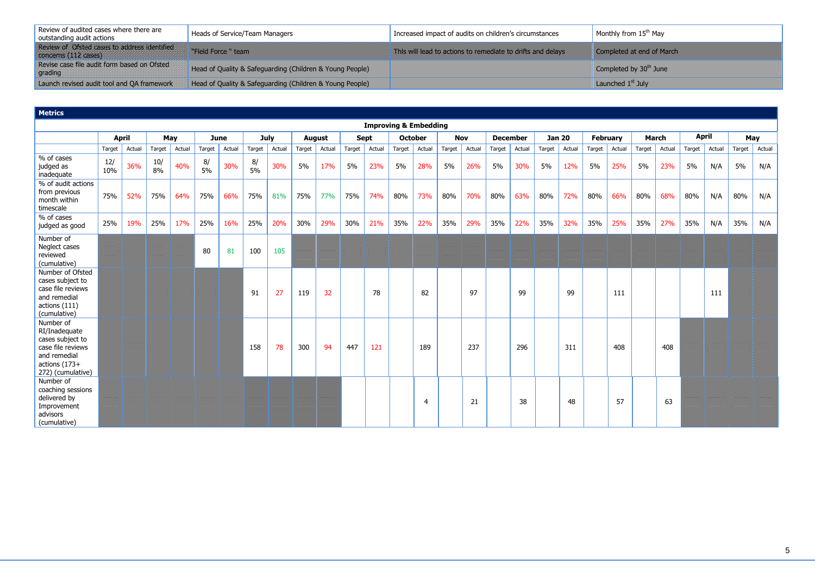| Review of audited cases where there are<br>outstanding audit actions | Heads of Service/Team Managers                           | Increased impact of audits on children's circumstances | Monthly from 15 <sup>th</sup> May |
|----------------------------------------------------------------------|----------------------------------------------------------|--------------------------------------------------------|-----------------------------------|
| TREVISTING REGISTERY AND RESIDENCE<br><u>UCSKERFALLINGER I </u>      | THE CONSTRUCTION OF THE PARTY OF THE PARTY               | TA KATALOGIA KATALOGIA KATALOGIA KATALOGIA K           | <u> 1978 – Edis Adams Mars</u>    |
| Revise case file audit form based on Ofsted<br>grading               | Head of Quality & Safeguarding (Children & Young People) |                                                        | Completed by 30th June            |
| Launch revised audit tool and QA framework                           | Head of Quality & Safeguarding (Children & Young People) |                                                        | Launched $1st$ July               |

| <b>Metrics</b>                                                                                                            |            |              |           |        |          |             |          |             |        |               |        |             |                                  |                |        |            |        |                 |        |               |        |                 |        |              |        |              |        |        |
|---------------------------------------------------------------------------------------------------------------------------|------------|--------------|-----------|--------|----------|-------------|----------|-------------|--------|---------------|--------|-------------|----------------------------------|----------------|--------|------------|--------|-----------------|--------|---------------|--------|-----------------|--------|--------------|--------|--------------|--------|--------|
|                                                                                                                           |            |              |           |        |          |             |          |             |        |               |        |             | <b>Improving &amp; Embedding</b> |                |        |            |        |                 |        |               |        |                 |        |              |        |              |        |        |
|                                                                                                                           |            | <b>April</b> |           | May    |          | <b>June</b> |          | <b>July</b> |        | <b>August</b> |        | <b>Sept</b> |                                  | <b>October</b> |        | <b>Nov</b> |        | <b>December</b> |        | <b>Jan 20</b> |        | <b>February</b> |        | <b>March</b> |        | <b>April</b> |        | May    |
|                                                                                                                           | Target     | Actual       | Target    | Actual | Target   | Actual      | Target   | Actual      | Target | Actual        | Target | Actual      | Target                           | Actual         | Target | Actual     | Target | Actual          | Target | Actual        | Target | Actual          | Target | Actual       | Target | Actual       | Target | Actual |
| % of cases<br>judged as<br>inadequate                                                                                     | 12/<br>10% | 36%          | 10/<br>8% | 40%    | 8/<br>5% | 30%         | 8/<br>5% | 30%         | 5%     | 17%           | 5%     | 23%         | 5%                               | 28%            | 5%     | 26%        | 5%     | 30%             | 5%     | 12%           | 5%     | 25%             | 5%     | 23%          | 5%     | N/A          | 5%     | N/A    |
| % of audit actions<br>from previous<br>month within<br>timescale                                                          | 75%        | 52%          | 75%       | 64%    | 75%      | 66%         | 75%      | 81%         | 75%    | 77%           | 75%    | 74%         | 80%                              | 73%            | 80%    | 70%        | 80%    | 63%             | 80%    | 72%           | 80%    | 66%             | 80%    | 68%          | 80%    | N/A          | 80%    | N/A    |
| % of cases<br>judged as good                                                                                              | 25%        | 19%          | 25%       | 17%    | 25%      | 16%         | 25%      | 20%         | 30%    | 29%           | 30%    | 21%         | 35%                              | 22%            | 35%    | 29%        | 35%    | 22%             | 35%    | 32%           | 35%    | 25%             | 35%    | 27%          | 35%    | N/A          | 35%    | N/A    |
| Number of<br>Neglect cases<br>reviewed<br>(cumulative)                                                                    |            |              |           |        | 80       | 81          | 100      | 105         |        |               |        |             |                                  |                |        |            |        |                 |        |               |        |                 |        |              |        |              |        |        |
| Number of Ofsted<br>cases subject to<br>case file reviews<br>and remedial<br>actions (111)<br>(cumulative)                |            |              |           |        |          |             | 91       | 27          | 119    | 32            |        | 78          |                                  | 82             |        | 97         |        | 99              |        | 99            |        | 111             |        |              |        | 111          |        |        |
| Number of<br>RI/Inadequate<br>cases subject to<br>case file reviews<br>and remedial<br>actions (173+<br>272) (cumulative) |            |              |           |        |          |             | 158      | 78          | 300    | 94            | 447    | 121         |                                  | 189            |        | 237        |        | 296             |        | 311           |        | 408             |        | 408          |        |              |        |        |
| Number of<br>coaching sessions<br>delivered by<br>Improvement<br>advisors<br>(cumulative)                                 |            |              |           |        |          |             |          |             |        |               |        |             |                                  | $\overline{4}$ |        | 21         |        | 38              |        | 48            |        | 57              |        | 63           |        |              |        |        |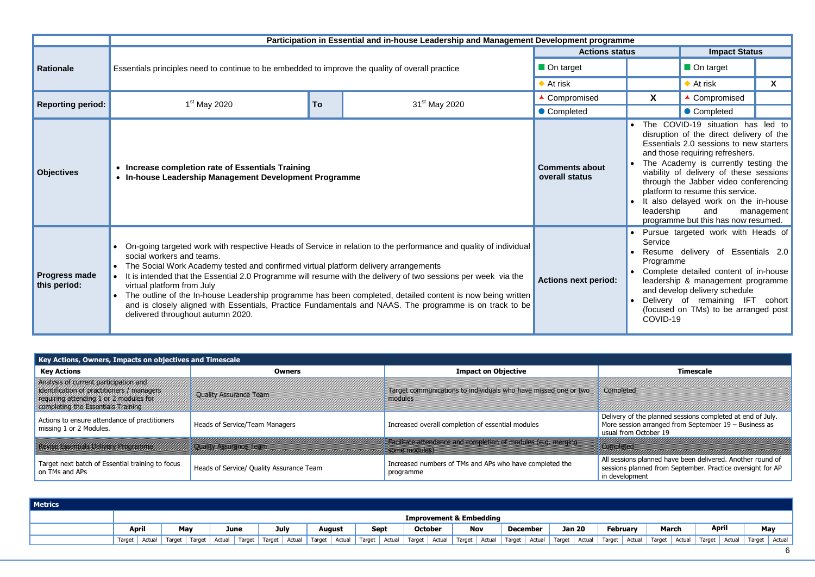|                                      |                                                                                                                                                                                                                                                                                                                                                                                                                             |                                                                                                           | Participation in Essential and in-house Leadership and Management Development programme                                                                                                                               |                             |                                  |                                                                                                                                                                                                                                                                 |        |  |  |
|--------------------------------------|-----------------------------------------------------------------------------------------------------------------------------------------------------------------------------------------------------------------------------------------------------------------------------------------------------------------------------------------------------------------------------------------------------------------------------|-----------------------------------------------------------------------------------------------------------|-----------------------------------------------------------------------------------------------------------------------------------------------------------------------------------------------------------------------|-----------------------------|----------------------------------|-----------------------------------------------------------------------------------------------------------------------------------------------------------------------------------------------------------------------------------------------------------------|--------|--|--|
|                                      |                                                                                                                                                                                                                                                                                                                                                                                                                             |                                                                                                           |                                                                                                                                                                                                                       | <b>Actions status</b>       |                                  | <b>Impact Status</b>                                                                                                                                                                                                                                            |        |  |  |
| <b>Rationale</b>                     | Essentials principles need to continue to be embedded to improve the quality of overall practice                                                                                                                                                                                                                                                                                                                            | $\blacksquare$ On target                                                                                  |                                                                                                                                                                                                                       | On target                   |                                  |                                                                                                                                                                                                                                                                 |        |  |  |
|                                      |                                                                                                                                                                                                                                                                                                                                                                                                                             | $\blacklozenge$ At risk                                                                                   |                                                                                                                                                                                                                       | $\blacklozenge$ At risk     | X                                |                                                                                                                                                                                                                                                                 |        |  |  |
| <b>Reporting period:</b>             | $1st$ May 2020                                                                                                                                                                                                                                                                                                                                                                                                              | <b>To</b>                                                                                                 | 31 <sup>st</sup> May 2020                                                                                                                                                                                             | ▲ Compromised               | X.                               | ▲ Compromised                                                                                                                                                                                                                                                   |        |  |  |
|                                      |                                                                                                                                                                                                                                                                                                                                                                                                                             |                                                                                                           |                                                                                                                                                                                                                       | Completed                   |                                  | • Completed                                                                                                                                                                                                                                                     |        |  |  |
| <b>Objectives</b>                    |                                                                                                                                                                                                                                                                                                                                                                                                                             | • Increase completion rate of Essentials Training<br>In-house Leadership Management Development Programme |                                                                                                                                                                                                                       |                             |                                  |                                                                                                                                                                                                                                                                 |        |  |  |
| <b>Progress made</b><br>this period: | • On-going targeted work with respective Heads of Service in relation to the performance and quality of individual<br>social workers and teams.<br>The Social Work Academy tested and confirmed virtual platform delivery arrangements<br>It is intended that the Essential 2.0 Programme will resume with the delivery of two sessions per week via the<br>virtual platform from July<br>delivered throughout autumn 2020. |                                                                                                           | The outline of the In-house Leadership programme has been completed, detailed content is now being written<br>and is closely aligned with Essentials, Practice Fundamentals and NAAS. The programme is on track to be | <b>Actions next period:</b> | Service<br>Programme<br>COVID-19 | • Pursue targeted work with Heads of<br>Resume delivery of Essentials 2.0<br>• Complete detailed content of in-house<br>leadership & management programme<br>and develop delivery schedule<br>Delivery of remaining IFT<br>(focused on TMs) to be arranged post | cohort |  |  |

| Metrics |        |                                    |        |        |        |        |                   |  |               |  |               |             |        |                |               |  |                 |               |        |               |                 |                          |              |               |                |
|---------|--------|------------------------------------|--------|--------|--------|--------|-------------------|--|---------------|--|---------------|-------------|--------|----------------|---------------|--|-----------------|---------------|--------|---------------|-----------------|--------------------------|--------------|---------------|----------------|
|         |        | <b>Improvement &amp; Embedding</b> |        |        |        |        |                   |  |               |  |               |             |        |                |               |  |                 |               |        |               |                 |                          |              |               |                |
|         |        | <b>April</b>                       |        | May    |        | June   | <b>July</b>       |  | August        |  |               | <b>Sept</b> |        | <b>October</b> | <b>Nov</b>    |  | <b>December</b> | <b>Jan 20</b> |        |               | <b>February</b> | <b>March</b>             | <b>April</b> |               | May            |
|         | Target | Actual                             | Target | Target | Actual | Target | $\sqrt{a}$ Target |  | Actual Target |  | Actual Target | Actual      | Target |                | Actual Target |  | Actual Target   | Actual Target | Actual | Target Actual |                 | Target   Actual   Target |              | Actual Target | Actual $\vert$ |
|         |        |                                    |        |        |        |        |                   |  |               |  |               |             |        |                |               |  |                 |               |        |               |                 |                          |              |               |                |

| Key Actions, Owners, Impacts on objectives and Timescale                                                                                                            |                                          |                                                                                                                                                                                                                                              |                                                                                                    |
|---------------------------------------------------------------------------------------------------------------------------------------------------------------------|------------------------------------------|----------------------------------------------------------------------------------------------------------------------------------------------------------------------------------------------------------------------------------------------|----------------------------------------------------------------------------------------------------|
| <b>Key Actions</b>                                                                                                                                                  | <b>Owners</b>                            | <b>Impact on Objective</b>                                                                                                                                                                                                                   | <b>Timescale</b>                                                                                   |
| Analysis of current participation and<br>identification of practitioners / managers<br>requiring attending 1 or 2 modules for<br>completing the Essentials Training | <b>Quality Assurance Team</b>            | Target communications to individuals who have missed one or two<br>modules                                                                                                                                                                   | Completed                                                                                          |
| Actions to ensure attendance of practitioners<br>missing 1 or 2 Modules.                                                                                            | Heads of Service/Team Managers           | Increased overall completion of essential modules                                                                                                                                                                                            | Delivery of the planned sessions con<br>More session arranged from Septem<br>usual from October 19 |
| <u> Kansa Kental Daluar Aduardi I</u>                                                                                                                               | <b>GERMASS CALLER</b>                    | <u> La Rivere La Sterre Arte La Rivere La Sterre La Rivere La Sterre La Carte La Carte de la Provincia del la Ca</u><br><u> Estados de Carlos de Carlos de Carlos de Carlos de Carlos de Carlos de Carlos de Carlos de Carlos de Carlos </u> | <u> Estados de C</u>                                                                               |
| Target next batch of Essential training to focus<br>on TMs and APs                                                                                                  | Heads of Service/ Quality Assurance Team | Increased numbers of TMs and APs who have completed the<br>programme                                                                                                                                                                         | All sessions planned have been deliv<br>sessions planned from September. P<br>in development       |

| <b>Timescale</b>                                                                                                                             |
|----------------------------------------------------------------------------------------------------------------------------------------------|
| Completed                                                                                                                                    |
| Delivery of the planned sessions completed at end of July.<br>More session arranged from September 19 - Business as<br>usual from October 19 |
| III ANN AN DÈIDEACH A                                                                                                                        |
| All sessions planned have been delivered. Another round of<br>sessions planned from September. Practice oversight for AP<br>in development   |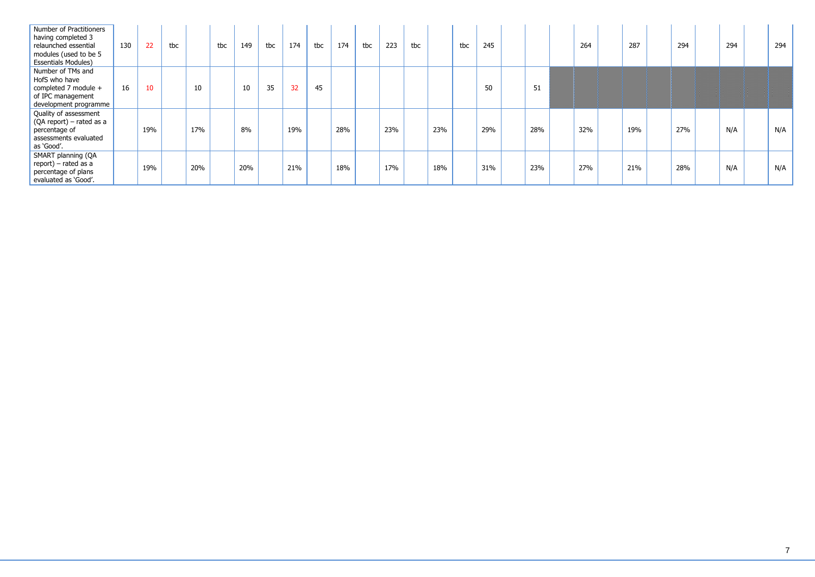| Number of Practitioners<br>having completed 3<br>relaunched essential<br>modules (used to be 5<br><b>Essentials Modules)</b> | 130 | 22  | tbc |     | tbc | 149             | tbc | 174 | tbc | 174 | tbc | 223 | tbc |     | tbc | 245 |     | 264 | 287 | 294 | 294 | 294 |
|------------------------------------------------------------------------------------------------------------------------------|-----|-----|-----|-----|-----|-----------------|-----|-----|-----|-----|-----|-----|-----|-----|-----|-----|-----|-----|-----|-----|-----|-----|
| Number of TMs and<br>HofS who have<br>completed 7 module +<br>of IPC management<br>development programme                     | 16  | 10  |     | 10  |     | 10 <sup>°</sup> | 35  | 32  | 45  |     |     |     |     |     |     | 50  | 51  |     |     |     |     |     |
| Quality of assessment<br>(QA report) – rated as a<br>percentage of<br>assessments evaluated<br>as 'Good'.                    |     | 19% |     | 17% |     | 8%              |     | 19% |     | 28% |     | 23% |     | 23% |     | 29% | 28% | 32% | 19% | 27% | N/A | N/A |
| SMART planning (QA<br>report) – rated as a<br>percentage of plans<br>evaluated as 'Good'.                                    |     | 19% |     | 20% |     | 20%             |     | 21% |     | 18% |     | 17% |     | 18% |     | 31% | 23% | 27% | 21% | 28% | N/A | N/A |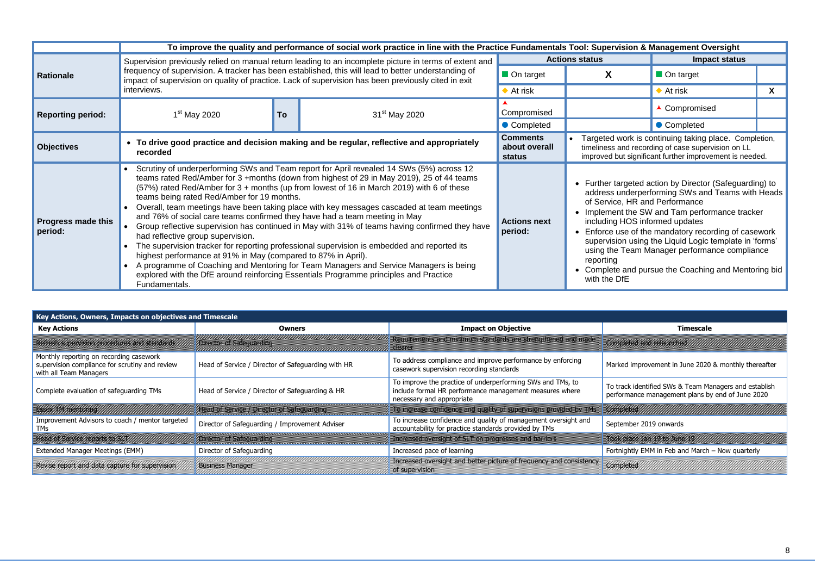|                                      |                                                                                                                                                                   |                                                                                                                                                                                                                                                                                                                                                                                                                                                                                                                                                                                                                                                                                                                                                                                                                                                                                                                                                                                                                                                                                                                                                                                                                                                                                                                                                                                                                                                                                                                                                                                                                                                                                                                                                                                                                                                                                                                                                                                                                                                                                                                                                                                                                                                                    |                   |  | <b>Impact status</b>          |  |
|--------------------------------------|-------------------------------------------------------------------------------------------------------------------------------------------------------------------|--------------------------------------------------------------------------------------------------------------------------------------------------------------------------------------------------------------------------------------------------------------------------------------------------------------------------------------------------------------------------------------------------------------------------------------------------------------------------------------------------------------------------------------------------------------------------------------------------------------------------------------------------------------------------------------------------------------------------------------------------------------------------------------------------------------------------------------------------------------------------------------------------------------------------------------------------------------------------------------------------------------------------------------------------------------------------------------------------------------------------------------------------------------------------------------------------------------------------------------------------------------------------------------------------------------------------------------------------------------------------------------------------------------------------------------------------------------------------------------------------------------------------------------------------------------------------------------------------------------------------------------------------------------------------------------------------------------------------------------------------------------------------------------------------------------------------------------------------------------------------------------------------------------------------------------------------------------------------------------------------------------------------------------------------------------------------------------------------------------------------------------------------------------------------------------------------------------------------------------------------------------------|-------------------|--|-------------------------------|--|
| <b>Rationale</b>                     |                                                                                                                                                                   |                                                                                                                                                                                                                                                                                                                                                                                                                                                                                                                                                                                                                                                                                                                                                                                                                                                                                                                                                                                                                                                                                                                                                                                                                                                                                                                                                                                                                                                                                                                                                                                                                                                                                                                                                                                                                                                                                                                                                                                                                                                                                                                                                                                                                                                                    | On target         |  | $\blacksquare$ On target      |  |
|                                      | interviews.                                                                                                                                                       |                                                                                                                                                                                                                                                                                                                                                                                                                                                                                                                                                                                                                                                                                                                                                                                                                                                                                                                                                                                                                                                                                                                                                                                                                                                                                                                                                                                                                                                                                                                                                                                                                                                                                                                                                                                                                                                                                                                                                                                                                                                                                                                                                                                                                                                                    | $\bullet$ At risk |  | $\blacktriangleright$ At risk |  |
| <b>Reporting period:</b>             | $1st$ May 2020                                                                                                                                                    | <b>To</b>                                                                                                                                                                                                                                                                                                                                                                                                                                                                                                                                                                                                                                                                                                                                                                                                                                                                                                                                                                                                                                                                                                                                                                                                                                                                                                                                                                                                                                                                                                                                                                                                                                                                                                                                                                                                                                                                                                                                                                                                                                                                                                                                                                                                                                                          | Compromised       |  | ▲ Compromised                 |  |
|                                      |                                                                                                                                                                   | To improve the quality and performance of social work practice in line with the Practice Fundamentals Tool: Supervision & Management Oversight<br><b>Actions status</b><br>Supervision previously relied on manual return leading to an incomplete picture in terms of extent and<br>frequency of supervision. A tracker has been established, this will lead to better understanding of<br>impact of supervision on quality of practice. Lack of supervision has been previously cited in exit<br>31 <sup>st</sup> May 2020<br>• Completed<br>• Completed<br><b>Comments</b><br>Targeted work is continuing taking place. Completion,<br>• To drive good practice and decision making and be regular, reflective and appropriately<br>about overall<br>timeliness and recording of case supervision on LL<br>improved but significant further improvement is needed.<br>status<br>Scrutiny of underperforming SWs and Team report for April revealed 14 SWs (5%) across 12<br>teams rated Red/Amber for 3 +months (down from highest of 29 in May 2019), 25 of 44 teams<br>• Further targeted action by Director (Safeguarding) to<br>(57%) rated Red/Amber for 3 + months (up from lowest of 16 in March 2019) with 6 of these<br>address underperforming SWs and Teams with Heads<br>of Service, HR and Performance<br>• Overall, team meetings have been taking place with key messages cascaded at team meetings<br>Implement the SW and Tam performance tracker<br>and 76% of social care teams confirmed they have had a team meeting in May<br>including HOS informed updates<br><b>Actions next</b><br>Group reflective supervision has continued in May with 31% of teams having confirmed they have<br>period:<br>Enforce use of the mandatory recording of casework<br>supervision using the Liquid Logic template in 'forms'<br>The supervision tracker for reporting professional supervision is embedded and reported its<br>using the Team Manager performance compliance<br>reporting<br>• A programme of Coaching and Mentoring for Team Managers and Service Managers is being<br>• Complete and pursue the Coaching and Mentoring bid<br>explored with the DfE around reinforcing Essentials Programme principles and Practice<br>with the DfE |                   |  |                               |  |
| <b>Objectives</b>                    | recorded                                                                                                                                                          |                                                                                                                                                                                                                                                                                                                                                                                                                                                                                                                                                                                                                                                                                                                                                                                                                                                                                                                                                                                                                                                                                                                                                                                                                                                                                                                                                                                                                                                                                                                                                                                                                                                                                                                                                                                                                                                                                                                                                                                                                                                                                                                                                                                                                                                                    |                   |  |                               |  |
| <b>Progress made this</b><br>period: | teams being rated Red/Amber for 19 months.<br>had reflective group supervision.<br>highest performance at 91% in May (compared to 87% in April).<br>Fundamentals. |                                                                                                                                                                                                                                                                                                                                                                                                                                                                                                                                                                                                                                                                                                                                                                                                                                                                                                                                                                                                                                                                                                                                                                                                                                                                                                                                                                                                                                                                                                                                                                                                                                                                                                                                                                                                                                                                                                                                                                                                                                                                                                                                                                                                                                                                    |                   |  |                               |  |

| Key Actions, Owners, Impacts on objectives and Timescale                                                            |                                                                                                                                                                                                                                      |                                                                                                                                                    |                                                                                                                       |
|---------------------------------------------------------------------------------------------------------------------|--------------------------------------------------------------------------------------------------------------------------------------------------------------------------------------------------------------------------------------|----------------------------------------------------------------------------------------------------------------------------------------------------|-----------------------------------------------------------------------------------------------------------------------|
| <b>Key Actions</b>                                                                                                  | <b>Owners</b>                                                                                                                                                                                                                        | <b>Impact on Objective</b>                                                                                                                         | <b>Timescale</b>                                                                                                      |
| <u>Kanas ya kasa shi na katika matu a ƙasar I</u>                                                                   | <u>DIE COLORES CONTRACTO DE L</u>                                                                                                                                                                                                    | <u>A STATISTIC ALT STATISTIC AND A STATISTIC COMMUNISTIC CONTRACT COMMUNIST CONTRACT CONTRACT COMMUNIST CONTRACT</u><br><u>Martin Carlottan (</u>  | <b>Constelland Bautored</b>                                                                                           |
| Monthly reporting on recording casework<br>supervision compliance for scrutiny and review<br>with all Team Managers | Head of Service / Director of Safeguarding with HR                                                                                                                                                                                   | To address compliance and improve performance by enforcing<br>casework supervision recording standards                                             | Marked improvement in June 2020                                                                                       |
| Complete evaluation of safeguarding TMs                                                                             | Head of Service / Director of Safeguarding & HR                                                                                                                                                                                      | To improve the practice of underperforming SWs and TMs, to<br>include formal HR performance management measures where<br>necessary and appropriate | To track identified SWs & Team Ma<br>performance management plans by                                                  |
| <u> 1999 - Johann Henry Stefan (d. 1988)</u>                                                                        | <u>Teach and the second series and the second series of the series of the series of the series of the series of the series of the series of the series of the series of the series of the series of the series of the series of </u> | A STATISTICS AND THE RESIDENCE OF A STRAIGHT CONTROL OF A STRAIGHT CONTROL OF A STRAIGHT CONTROL OF A STRAIGHT                                     | <u> Elizabeth Carlotte Charles Charles Charles Charles Charles Charles Charles Charles Charles Charles Charles Ch</u> |
| Improvement Advisors to coach / mentor targeted<br><b>TMs</b>                                                       | Director of Safeguarding / Improvement Adviser                                                                                                                                                                                       | To increase confidence and quality of management oversight and<br>accountability for practice standards provided by TMs                            | September 2019 onwards                                                                                                |
| <u> Kedistan dan basa dan me</u>                                                                                    | DIE SOOS ALGEMENT VAN DIE VAN DIE VAN DIE VAN DIE VAN DIE VAN DIE VAN DIE VAN DIE VAN DIE VAN DIE VAN DIE VAN                                                                                                                        | ANG KARAMATAN NG KABUPATÈN NG KABUPATÈN NG KABUPATÈN NG KABUPATÈN NG KABUPATÈN NG KABUPATÈN NG KABUPATÈN NG KA                                     | <u>TSK SEE IS IN STRUCTURE IN DIE SCHOOL DE BIJ DIE SCHOOL DE BIJ DIE SCHOOL DE BIJ DIE SCHOOL DE BIJ DIE SCHOOL</u>  |
| Extended Manager Meetings (EMM)                                                                                     | Director of Safeguarding                                                                                                                                                                                                             | Increased pace of learning                                                                                                                         | Fortnightly EMM in Feb and March                                                                                      |
| Revise report and data capture for supervision                                                                      | <b>Business Manager</b>                                                                                                                                                                                                              | Increased oversight and better picture of frequency and consistency<br>of supervision                                                              | Completed                                                                                                             |

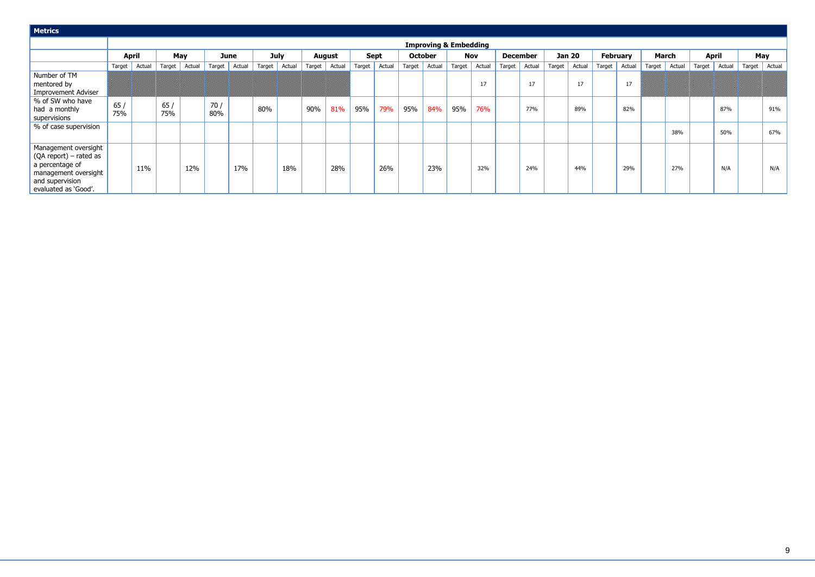| <b>Metrics</b>                                                                                                                                |              |        |            |        |            |        |        |             |        |               |        |             |        |                |                                  |            |        |                 |        |               |                 |        |        |              |        |              |        |            |
|-----------------------------------------------------------------------------------------------------------------------------------------------|--------------|--------|------------|--------|------------|--------|--------|-------------|--------|---------------|--------|-------------|--------|----------------|----------------------------------|------------|--------|-----------------|--------|---------------|-----------------|--------|--------|--------------|--------|--------------|--------|------------|
|                                                                                                                                               |              |        |            |        |            |        |        |             |        |               |        |             |        |                | <b>Improving &amp; Embedding</b> |            |        |                 |        |               |                 |        |        |              |        |              |        |            |
|                                                                                                                                               | <b>April</b> |        | May        |        |            | June   |        | <b>July</b> |        | <b>August</b> |        | <b>Sept</b> |        | <b>October</b> |                                  | <b>Nov</b> |        | <b>December</b> |        | <b>Jan 20</b> | <b>February</b> |        |        | <b>March</b> |        | <b>April</b> |        | <b>May</b> |
|                                                                                                                                               | Target       | Actual | Target     | Actual | Target     | Actual | Target | Actual      | Target | Actual        | Target | Actual      | Target | Actual         | Target                           | Actual     | Target | Actual          | Target | Actual        | Target          | Actual | Target | Actual       | Target | Actual       | Target | Actual     |
| Number of TM<br>mentored by<br>Improvement Adviser                                                                                            |              |        |            |        |            |        |        |             |        |               |        |             |        |                |                                  | 17         |        | 17              |        | 17            |                 | 17     |        |              |        |              |        |            |
| % of SW who have<br>had a monthly<br>supervisions                                                                                             | 65/<br>75%   |        | 65/<br>75% |        | 70/<br>80% |        | 80%    |             | 90%    | 81%           | 95%    | 79%         | 95%    | 84%            | 95%                              | 76%        |        | 77%             |        | 89%           |                 | 82%    |        |              |        | 87%          |        | 91%        |
| % of case supervision                                                                                                                         |              |        |            |        |            |        |        |             |        |               |        |             |        |                |                                  |            |        |                 |        |               |                 |        |        | 38%          |        | 50%          |        | 67%        |
| Management oversight<br>$\sqrt{(QA report)}$ – rated as<br>a percentage of<br>management oversight<br>and supervision<br>evaluated as 'Good'. |              | 11%    |            | 12%    |            | 17%    |        | 18%         |        | 28%           |        | 26%         |        | 23%            |                                  | 32%        |        | 24%             |        | 44%           |                 | 29%    |        | 27%          |        | N/A          |        | N/A        |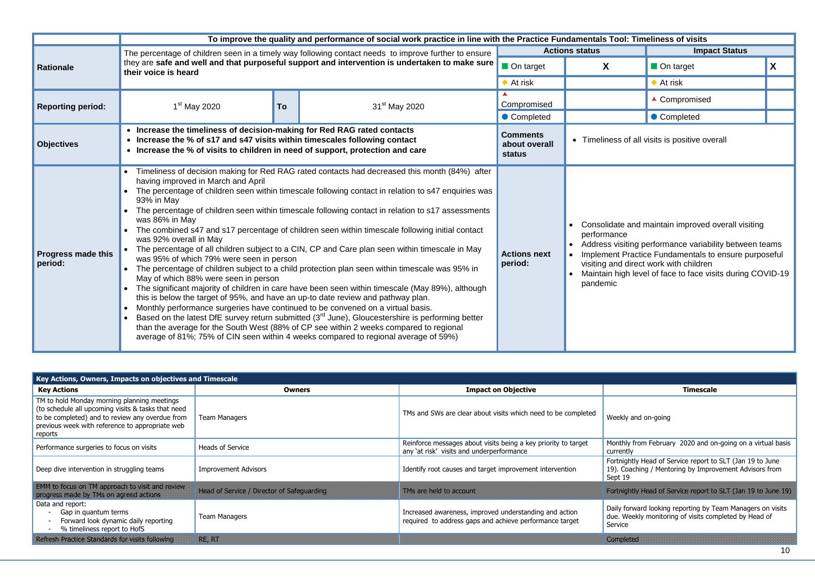|                          | the Practice Fundamentals Tool: Timeliness of visits |                      |   |
|--------------------------|------------------------------------------------------|----------------------|---|
|                          | <b>Actions status</b>                                | <b>Impact Status</b> |   |
| $\blacksquare$ On target | X                                                    | On target            | X |
| $\blacklozenge$ At risk  |                                                      | At risk              |   |
| Compromised              |                                                      | ▲ Compromised        |   |
| Completed                |                                                      | Completed            |   |
|                          |                                                      |                      |   |

ss of all visits is positive overall

ate and maintain improved overall visiting nce

visiting performance variability between teams It Practice Fundamentals to ensure purposeful nd direct work with children

high level of face to face visits during COVID-19

|                                               |                                                                                                                                                                                                                                                                                                                                                         |           | To improve the quality and performance of social work practice in line with the Practice Fundamentals Tool: Timeliness of visits                                                                                                                                                                                                                                                                                                                                                                                                                                                                                                                                                                                                                                                                                                                                                                                                                                                                            |                                            |                                                                                                                                              |                                                                             |
|-----------------------------------------------|---------------------------------------------------------------------------------------------------------------------------------------------------------------------------------------------------------------------------------------------------------------------------------------------------------------------------------------------------------|-----------|-------------------------------------------------------------------------------------------------------------------------------------------------------------------------------------------------------------------------------------------------------------------------------------------------------------------------------------------------------------------------------------------------------------------------------------------------------------------------------------------------------------------------------------------------------------------------------------------------------------------------------------------------------------------------------------------------------------------------------------------------------------------------------------------------------------------------------------------------------------------------------------------------------------------------------------------------------------------------------------------------------------|--------------------------------------------|----------------------------------------------------------------------------------------------------------------------------------------------|-----------------------------------------------------------------------------|
|                                               |                                                                                                                                                                                                                                                                                                                                                         |           | The percentage of children seen in a timely way following contact needs to improve further to ensure                                                                                                                                                                                                                                                                                                                                                                                                                                                                                                                                                                                                                                                                                                                                                                                                                                                                                                        |                                            | <b>Actions status</b>                                                                                                                        | <b>Impa</b>                                                                 |
| <b>Rationale</b><br><b>Progress made this</b> | their voice is heard                                                                                                                                                                                                                                                                                                                                    |           | they are safe and well and that purposeful support and intervention is undertaken to make sure                                                                                                                                                                                                                                                                                                                                                                                                                                                                                                                                                                                                                                                                                                                                                                                                                                                                                                              | On target                                  | X                                                                                                                                            | On target                                                                   |
|                                               |                                                                                                                                                                                                                                                                                                                                                         |           |                                                                                                                                                                                                                                                                                                                                                                                                                                                                                                                                                                                                                                                                                                                                                                                                                                                                                                                                                                                                             | $\blacklozenge$ At risk                    |                                                                                                                                              | $\blacklozenge$ At risk                                                     |
| <b>Reporting period:</b>                      | $1st$ May 2020                                                                                                                                                                                                                                                                                                                                          | <b>To</b> | 31 <sup>st</sup> May 2020                                                                                                                                                                                                                                                                                                                                                                                                                                                                                                                                                                                                                                                                                                                                                                                                                                                                                                                                                                                   | Compromised                                |                                                                                                                                              | ▲ Compromised                                                               |
|                                               |                                                                                                                                                                                                                                                                                                                                                         |           |                                                                                                                                                                                                                                                                                                                                                                                                                                                                                                                                                                                                                                                                                                                                                                                                                                                                                                                                                                                                             | Completed                                  |                                                                                                                                              | Completed                                                                   |
| <b>Objectives</b>                             | • Increase the timeliness of decision-making for Red RAG rated contacts<br>• Increase the % of s17 and s47 visits within timescales following contact<br>• Increase the % of visits to children in need of support, protection and care                                                                                                                 |           |                                                                                                                                                                                                                                                                                                                                                                                                                                                                                                                                                                                                                                                                                                                                                                                                                                                                                                                                                                                                             | <b>Comments</b><br>about overall<br>status | • Timeliness of all visits is positive ov                                                                                                    |                                                                             |
| period:                                       | having improved in March and April<br>93% in May<br>was 86% in May<br>was 92% overall in May<br>was 95% of which 79% were seen in person<br>May of which 88% were seen in person<br>this is below the target of 95%, and have an up-to date review and pathway plan.<br>Monthly performance surgeries have continued to be convened on a virtual basis. |           | Timeliness of decision making for Red RAG rated contacts had decreased this month (84%) after<br>The percentage of children seen within timescale following contact in relation to s47 enquiries was<br>The percentage of children seen within timescale following contact in relation to s17 assessments<br>The combined s47 and s17 percentage of children seen within timescale following initial contact<br>The percentage of all children subject to a CIN, CP and Care plan seen within timescale in May<br>The percentage of children subject to a child protection plan seen within timescale was 95% in<br>The significant majority of children in care have been seen within timescale (May 89%), although<br>Based on the latest DfE survey return submitted $(3rd$ June), Gloucestershire is performing better<br>than the average for the South West (88% of CP see within 2 weeks compared to regional<br>average of 81%; 75% of CIN seen within 4 weeks compared to regional average of 59%) | <b>Actions next</b><br>period:             | Consolidate and maintain improved<br>performance<br>Address visiting performance variab<br>Maintain high level of face to face v<br>pandemic | Implement Practice Fundamentals t<br>visiting and direct work with childrer |



| Key Actions, Owners, Impacts on objectives and Timescale                                                                                                                                                           |                                                                                                                      |                                                                                                                   |                                                                                                                      |
|--------------------------------------------------------------------------------------------------------------------------------------------------------------------------------------------------------------------|----------------------------------------------------------------------------------------------------------------------|-------------------------------------------------------------------------------------------------------------------|----------------------------------------------------------------------------------------------------------------------|
| <b>Key Actions</b>                                                                                                                                                                                                 | <b>Owners</b>                                                                                                        | <b>Impact on Objective</b>                                                                                        | Timescale                                                                                                            |
| TM to hold Monday morning planning meetings<br>(to schedule all upcoming visits & tasks that need<br>to be completed) and to review any overdue from<br>previous week with reference to appropriate web<br>reports | <b>Team Managers</b>                                                                                                 | TMs and SWs are clear about visits which need to be completed                                                     | Weekly and on-going                                                                                                  |
| Performance surgeries to focus on visits                                                                                                                                                                           | <b>Heads of Service</b>                                                                                              | Reinforce messages about visits being a key priority to target<br>any 'at risk' visits and underperformance       | Monthly from February 2020 and or<br>currently                                                                       |
| Deep dive intervention in struggling teams                                                                                                                                                                         | <b>Improvement Advisors</b>                                                                                          | Identify root causes and target improvement intervention                                                          | Fortnightly Head of Service report to<br>19). Coaching / Mentoring by Impro<br>Sept 19                               |
| <u> EMMI SISTEMA SAMAN SAMAN SAMA SAMA SAMA</u><br><u> Kostes Karl Miller (Karl Maria Karl Maria Karl Maria Karl Maria Karl Maria Karl Maria Karl Maria Karl Maria K</u>                                           | IN SECTION OF THE REAL PROPERTY OF THE REAL PROPERTY OF THE REAL PROPERTY.                                           | TAS AT A CITY ACTIVITY                                                                                            | <u> Tanga dan bahasa dan ba</u>                                                                                      |
| Data and report:<br>Gap in quantum terms<br>Forward look dynamic daily reporting<br>% timeliness report to HofS                                                                                                    | <b>Team Managers</b>                                                                                                 | Increased awareness, improved understanding and action<br>required to address gaps and achieve performance target | Daily forward looking reporting by To<br>due. Weekly monitoring of visits con<br>Service                             |
| TEN ER TIG NET KAN DE TOTAL SE TOTAL SUSTAN DE                                                                                                                                                                     | <u> Kabupatèn Bandaran Indonesia (Kabupatèn Bandaran Indonesia (Kabupatèn Bandaran Indonesia (Kabupatèn Bandaran</u> |                                                                                                                   | <u> Elizabeth Contae a Contae a Contae a Contae a Contae a Contae a Contae a Contae a Contae a Contae a Contae a</u> |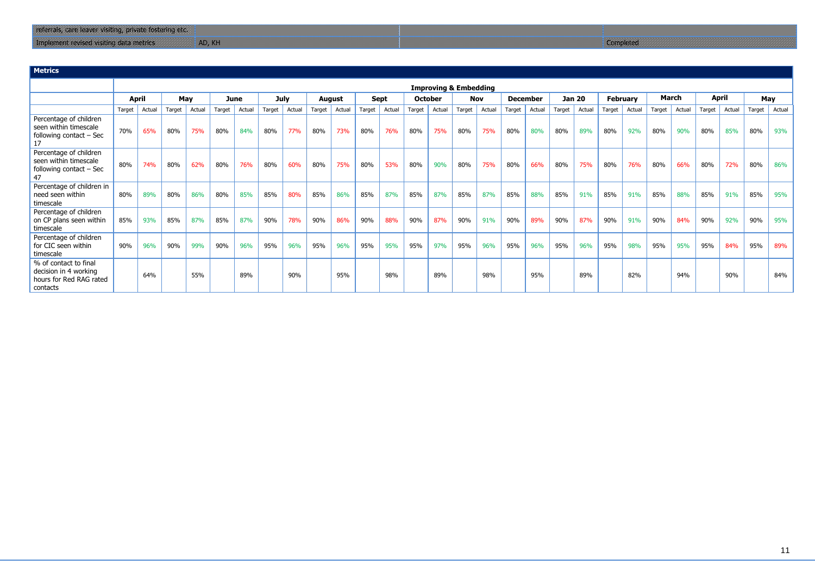**Metrics**

|                                                                                       |        |        |        |        |        |        |             |        |        |        |        |             |        |                | <b>Improving &amp; Embedding</b> |        |        |                 |               |        |        |                 |        |              |              |        |        |        |
|---------------------------------------------------------------------------------------|--------|--------|--------|--------|--------|--------|-------------|--------|--------|--------|--------|-------------|--------|----------------|----------------------------------|--------|--------|-----------------|---------------|--------|--------|-----------------|--------|--------------|--------------|--------|--------|--------|
|                                                                                       | April  |        | May    |        |        | June   | <b>July</b> |        | August |        |        | <b>Sept</b> |        | <b>October</b> | <b>Nov</b>                       |        |        | <b>December</b> | <b>Jan 20</b> |        |        | <b>February</b> |        | <b>March</b> | <b>April</b> |        | May    |        |
|                                                                                       | Target | Actual | Target | Actual | Target | Actual | Target      | Actual | Target | Actual | Target | Actual      | Target | Actual         | Target                           | Actual | Target | Actual          | Target        | Actual | Target | Actual          | Target | Actual       | Target       | Actual | Target | Actual |
| Percentage of children<br>seen within timescale<br>following contact $-$ Sec<br>17    | 70%    | 65%    | 80%    | 75%    | 80%    | 84%    | 80%         | 77%    | 80%    | 73%    | 80%    | 76%         | 80%    | 75%            | 80%                              | 75%    | 80%    | 80%             | 80%           | 89%    | 80%    | 92%             | 80%    | 90%          | 80%          | 85%    | 80%    | 93%    |
| Percentage of children<br>seen within timescale<br>following contact $-$ Sec<br>47    | 80%    | 74%    | 80%    | 62%    | 80%    | 76%    | 80%         | 60%    | 80%    | 75%    | 80%    | 53%         | 80%    | 90%            | 80%                              | 75%    | 80%    | 66%             | 80%           | 75%    | 80%    | 76%             | 80%    | 66%          | 80%          | 72%    | 80%    | 86%    |
| Percentage of children in<br>need seen within<br>timescale                            | 80%    | 89%    | 80%    | 86%    | 80%    | 85%    | 85%         | 80%    | 85%    | 86%    | 85%    | 87%         | 85%    | 87%            | 85%                              | 87%    | 85%    | 88%             | 85%           | 91%    | 85%    | 91%             | 85%    | 88%          | 85%          | 91%    | 85%    | 95%    |
| Percentage of children<br>on CP plans seen within<br>timescale                        | 85%    | 93%    | 85%    | 87%    | 85%    | 87%    | 90%         | 78%    | 90%    | 86%    | 90%    | 88%         | 90%    | 87%            | 90%                              | 91%    | 90%    | 89%             | 90%           | 87%    | 90%    | 91%             | 90%    | 84%          | 90%          | 92%    | 90%    | 95%    |
| Percentage of children<br>for CIC seen within<br>timescale                            | 90%    | 96%    | 90%    | 99%    | 90%    | 96%    | 95%         | 96%    | 95%    | 96%    | 95%    | 95%         | 95%    | 97%            | 95%                              | 96%    | 95%    | 96%             | 95%           | 96%    | 95%    | 98%             | 95%    | 95%          | 95%          | 84%    | 95%    | 89%    |
| % of contact to final<br>decision in 4 working<br>hours for Red RAG rated<br>contacts |        | 64%    |        | 55%    |        | 89%    |             | 90%    |        | 95%    |        | 98%         |        | 89%            |                                  | 98%    |        | 95%             |               | 89%    |        | 82%             |        | 94%          |              | 90%    |        | 84%    |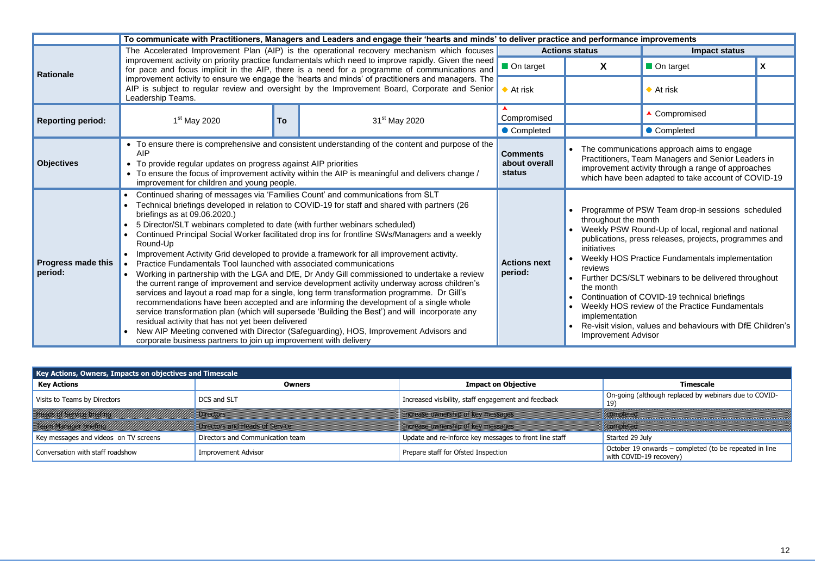|                                      |                                                                                                                                                                                                                                                                                                                          |                                                                                                                                                                                                                                                                                                                                                                                                                                                                                                                                                                                                                                                                                                                                                                                                                                                                                                                                                                                                                                                                                                                                                                                                                                                                                                                                                                                                                                                                                                                                                                                                                                                                                                                                                                                                                                                                                                                                                                                                                                                                                                                                                                                                                                                                                                                                                                                                                                                                                                                                                                                                                                                                                                                                                                           |                           |                               |   | <b>Impact status</b>    |   |
|--------------------------------------|--------------------------------------------------------------------------------------------------------------------------------------------------------------------------------------------------------------------------------------------------------------------------------------------------------------------------|---------------------------------------------------------------------------------------------------------------------------------------------------------------------------------------------------------------------------------------------------------------------------------------------------------------------------------------------------------------------------------------------------------------------------------------------------------------------------------------------------------------------------------------------------------------------------------------------------------------------------------------------------------------------------------------------------------------------------------------------------------------------------------------------------------------------------------------------------------------------------------------------------------------------------------------------------------------------------------------------------------------------------------------------------------------------------------------------------------------------------------------------------------------------------------------------------------------------------------------------------------------------------------------------------------------------------------------------------------------------------------------------------------------------------------------------------------------------------------------------------------------------------------------------------------------------------------------------------------------------------------------------------------------------------------------------------------------------------------------------------------------------------------------------------------------------------------------------------------------------------------------------------------------------------------------------------------------------------------------------------------------------------------------------------------------------------------------------------------------------------------------------------------------------------------------------------------------------------------------------------------------------------------------------------------------------------------------------------------------------------------------------------------------------------------------------------------------------------------------------------------------------------------------------------------------------------------------------------------------------------------------------------------------------------------------------------------------------------------------------------------------------------|---------------------------|-------------------------------|---|-------------------------|---|
| Rationale                            |                                                                                                                                                                                                                                                                                                                          |                                                                                                                                                                                                                                                                                                                                                                                                                                                                                                                                                                                                                                                                                                                                                                                                                                                                                                                                                                                                                                                                                                                                                                                                                                                                                                                                                                                                                                                                                                                                                                                                                                                                                                                                                                                                                                                                                                                                                                                                                                                                                                                                                                                                                                                                                                                                                                                                                                                                                                                                                                                                                                                                                                                                                                           |                           | On target                     | X | On target               | X |
|                                      | Leadership Teams.                                                                                                                                                                                                                                                                                                        |                                                                                                                                                                                                                                                                                                                                                                                                                                                                                                                                                                                                                                                                                                                                                                                                                                                                                                                                                                                                                                                                                                                                                                                                                                                                                                                                                                                                                                                                                                                                                                                                                                                                                                                                                                                                                                                                                                                                                                                                                                                                                                                                                                                                                                                                                                                                                                                                                                                                                                                                                                                                                                                                                                                                                                           |                           | $\blacktriangleright$ At risk |   | $\blacklozenge$ At risk |   |
| <b>Reporting period:</b>             | 1 <sup>st</sup> May 2020                                                                                                                                                                                                                                                                                                 | To                                                                                                                                                                                                                                                                                                                                                                                                                                                                                                                                                                                                                                                                                                                                                                                                                                                                                                                                                                                                                                                                                                                                                                                                                                                                                                                                                                                                                                                                                                                                                                                                                                                                                                                                                                                                                                                                                                                                                                                                                                                                                                                                                                                                                                                                                                                                                                                                                                                                                                                                                                                                                                                                                                                                                                        | 31 <sup>st</sup> May 2020 | Compromised                   |   | ▲ Compromised           |   |
|                                      |                                                                                                                                                                                                                                                                                                                          | To communicate with Practitioners, Managers and Leaders and engage their 'hearts and minds' to deliver practice and performance improvements<br>The Accelerated Improvement Plan (AIP) is the operational recovery mechanism which focuses<br><b>Actions status</b><br>improvement activity on priority practice fundamentals which need to improve rapidly. Given the need<br>for pace and focus implicit in the AIP, there is a need for a programme of communications and<br>improvement activity to ensure we engage the 'hearts and minds' of practitioners and managers. The<br>AIP is subject to regular review and oversight by the Improvement Board, Corporate and Senior<br>• Completed<br>Completed<br>• To ensure there is comprehensive and consistent understanding of the content and purpose of the<br>The communications approach aims to engage<br><b>Comments</b><br>Practitioners, Team Managers and Senior Leaders in<br>about overall<br>improvement activity through a range of approaches<br>• To ensure the focus of improvement activity within the AIP is meaningful and delivers change /<br><b>status</b><br>which have been adapted to take account of COVID-19<br>• Continued sharing of messages via 'Families Count' and communications from SLT<br>Technical briefings developed in relation to COVID-19 for staff and shared with partners (26<br>Programme of PSW Team drop-in sessions scheduled<br>throughout the month<br>Weekly PSW Round-Up of local, regional and national<br>• Continued Principal Social Worker facilitated drop ins for frontline SWs/Managers and a weekly<br>publications, press releases, projects, programmes and<br>initiatives<br>• Improvement Activity Grid developed to provide a framework for all improvement activity.<br>Weekly HOS Practice Fundamentals implementation<br><b>Actions next</b><br>reviews<br>period:<br>• Working in partnership with the LGA and DfE, Dr Andy Gill commissioned to undertake a review<br>Further DCS/SLT webinars to be delivered throughout<br>the current range of improvement and service development activity underway across children's<br>the month<br>services and layout a road map for a single, long term transformation programme. Dr Gill's<br>Continuation of COVID-19 technical briefings<br>recommendations have been accepted and are informing the development of a single whole<br>Weekly HOS review of the Practice Fundamentals<br>service transformation plan (which will supersede 'Building the Best') and will incorporate any<br>implementation<br>Re-visit vision, values and behaviours with DfE Children's<br>New AIP Meeting convened with Director (Safeguarding), HOS, Improvement Advisors and<br><b>Improvement Advisor</b> |                           |                               |   |                         |   |
| <b>Objectives</b>                    | <b>AIP</b><br>• To provide regular updates on progress against AIP priorities<br>improvement for children and young people.                                                                                                                                                                                              |                                                                                                                                                                                                                                                                                                                                                                                                                                                                                                                                                                                                                                                                                                                                                                                                                                                                                                                                                                                                                                                                                                                                                                                                                                                                                                                                                                                                                                                                                                                                                                                                                                                                                                                                                                                                                                                                                                                                                                                                                                                                                                                                                                                                                                                                                                                                                                                                                                                                                                                                                                                                                                                                                                                                                                           |                           |                               |   |                         |   |
| <b>Progress made this</b><br>period: | briefings as at 09.06.2020.)<br>• 5 Director/SLT webinars completed to date (with further webinars scheduled)<br>Round-Up<br>Practice Fundamentals Tool launched with associated communications<br>residual activity that has not yet been delivered<br>corporate business partners to join up improvement with delivery |                                                                                                                                                                                                                                                                                                                                                                                                                                                                                                                                                                                                                                                                                                                                                                                                                                                                                                                                                                                                                                                                                                                                                                                                                                                                                                                                                                                                                                                                                                                                                                                                                                                                                                                                                                                                                                                                                                                                                                                                                                                                                                                                                                                                                                                                                                                                                                                                                                                                                                                                                                                                                                                                                                                                                                           |                           |                               |   |                         |   |

| $\overline{\phantom{a}}$ Key Actions, Owners, Impacts on objectives and Timescale $\overline{\phantom{a}}$ |                                                 |                                                        |                                                                                   |
|------------------------------------------------------------------------------------------------------------|-------------------------------------------------|--------------------------------------------------------|-----------------------------------------------------------------------------------|
| <b>Key Actions</b>                                                                                         | <b>Owners</b>                                   | <b>Impact on Objective</b>                             | Timescale                                                                         |
| Visits to Teams by Directors                                                                               | DCS and SLT                                     | Increased visibility, staff engagement and feedback    | On-going (although replaced by webinars due to COVID-<br>19)                      |
| <b>The assistance of any</b>                                                                               | <u> Martin Carlottan (</u>                      | KRISS KIRSKI KALENDER                                  | <u> Karl Sergenting</u>                                                           |
| <u>TreatMatage Steng</u>                                                                                   | DIE CONSTANTINO DE LA CALIFICATIONE DE LA CALIF | <u> Katalonia Sino ya Maresa (a m</u>                  | <u> Karl Starter (</u>                                                            |
| Key messages and videos on TV screens                                                                      | Directors and Communication team                | Update and re-inforce key messages to front line staff | Started 29 July                                                                   |
| Conversation with staff roadshow                                                                           | <b>Improvement Advisor</b>                      | Prepare staff for Ofsted Inspection                    | October 19 onwards – completed (to be repeated in line<br>with COVID-19 recovery) |

- 
- 
- 
- 
- 
- 
-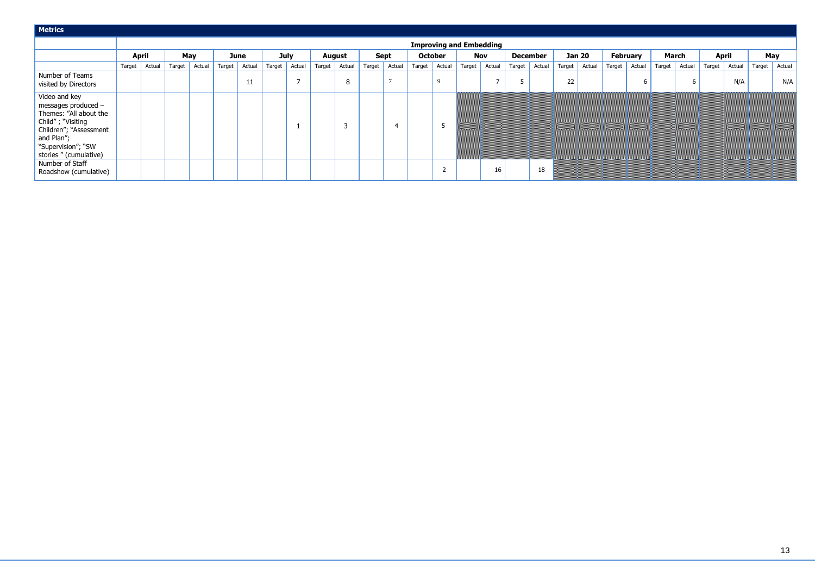| <b>Metrics</b>                                                                                                                                                              |                                |              |        |        |        |        |             |        |        |               |        |                          |        |                 |            |        |                 |        |        |               |                |                 |              |        |              |        |        |        |
|-----------------------------------------------------------------------------------------------------------------------------------------------------------------------------|--------------------------------|--------------|--------|--------|--------|--------|-------------|--------|--------|---------------|--------|--------------------------|--------|-----------------|------------|--------|-----------------|--------|--------|---------------|----------------|-----------------|--------------|--------|--------------|--------|--------|--------|
|                                                                                                                                                                             | <b>Improving and Embedding</b> |              |        |        |        |        |             |        |        |               |        |                          |        |                 |            |        |                 |        |        |               |                |                 |              |        |              |        |        |        |
|                                                                                                                                                                             |                                | <b>April</b> |        | May    |        | June   | <b>July</b> |        |        | <b>August</b> |        | <b>Sept</b>              |        | <b>October</b>  | <b>Nov</b> |        | <b>December</b> |        |        | <b>Jan 20</b> |                | <b>February</b> | <b>March</b> |        | <b>April</b> |        |        | May    |
|                                                                                                                                                                             | Target                         | Actual       | Target | Actual | Target | Actual | Target      | Actual | Target | Actual        | Target | Actual                   | Target | Actual          | Target     | Actual | Target          | Actual | Target | Actual        | Target $\vert$ | Actual          | Target       | Actual | Target       | Actual | Target | Actual |
| Number of Teams<br>visited by Directors                                                                                                                                     |                                |              |        |        |        | 11     |             |        |        | 8             |        |                          |        |                 |            | -      |                 |        | 22     |               |                | 6               |              |        |              | N/A    |        | N/A    |
| Video and key<br>messages produced -<br>Themes: "All about the<br>Child"; "Visiting<br>Children"; "Assessment<br>and Plan";<br>"Supervision"; "SW<br>stories " (cumulative) |                                |              |        |        |        |        |             |        |        | 3             |        | $\overline{\mathcal{A}}$ |        |                 |            |        |                 |        |        |               |                |                 |              |        |              |        |        |        |
| Number of Staff<br>Roadshow (cumulative)                                                                                                                                    |                                |              |        |        |        |        |             |        |        |               |        |                          |        | $\sqrt{2}$<br>∠ |            | 16     |                 | 18     |        |               |                |                 |              |        |              |        |        |        |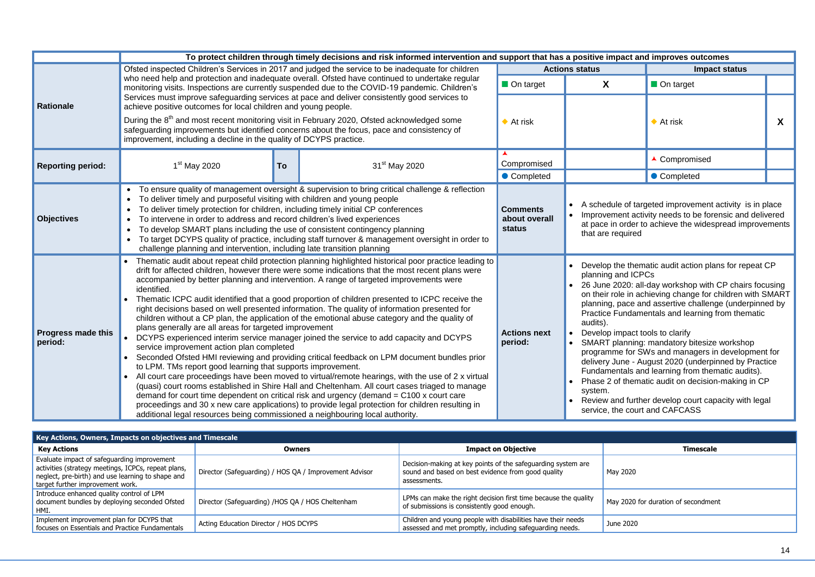|                                      | To protect children through timely decisions and risk informed intervention and support that has a positive impact and improves outcomes                                                                                                                                                                                                                                                                                                                                                                                                                                                                                                                                                                                                                                                                                                                                                                                                                                                                                                                                                                                                                                                                                                                                                                                                                                                                                                                                                                |                                            |                                                                                                                |                                                                                                                                                                                                                                                                                                                                                                                                                                                                                                                                                                                                                          |   |
|--------------------------------------|---------------------------------------------------------------------------------------------------------------------------------------------------------------------------------------------------------------------------------------------------------------------------------------------------------------------------------------------------------------------------------------------------------------------------------------------------------------------------------------------------------------------------------------------------------------------------------------------------------------------------------------------------------------------------------------------------------------------------------------------------------------------------------------------------------------------------------------------------------------------------------------------------------------------------------------------------------------------------------------------------------------------------------------------------------------------------------------------------------------------------------------------------------------------------------------------------------------------------------------------------------------------------------------------------------------------------------------------------------------------------------------------------------------------------------------------------------------------------------------------------------|--------------------------------------------|----------------------------------------------------------------------------------------------------------------|--------------------------------------------------------------------------------------------------------------------------------------------------------------------------------------------------------------------------------------------------------------------------------------------------------------------------------------------------------------------------------------------------------------------------------------------------------------------------------------------------------------------------------------------------------------------------------------------------------------------------|---|
|                                      | Ofsted inspected Children's Services in 2017 and judged the service to be inadequate for children                                                                                                                                                                                                                                                                                                                                                                                                                                                                                                                                                                                                                                                                                                                                                                                                                                                                                                                                                                                                                                                                                                                                                                                                                                                                                                                                                                                                       |                                            | <b>Actions status</b>                                                                                          | <b>Impact status</b>                                                                                                                                                                                                                                                                                                                                                                                                                                                                                                                                                                                                     |   |
|                                      | who need help and protection and inadequate overall. Ofsted have continued to undertake regular<br>monitoring visits. Inspections are currently suspended due to the COVID-19 pandemic. Children's                                                                                                                                                                                                                                                                                                                                                                                                                                                                                                                                                                                                                                                                                                                                                                                                                                                                                                                                                                                                                                                                                                                                                                                                                                                                                                      | On target                                  | X                                                                                                              | On target                                                                                                                                                                                                                                                                                                                                                                                                                                                                                                                                                                                                                |   |
| Rationale                            | Services must improve safeguarding services at pace and deliver consistently good services to<br>achieve positive outcomes for local children and young people.                                                                                                                                                                                                                                                                                                                                                                                                                                                                                                                                                                                                                                                                                                                                                                                                                                                                                                                                                                                                                                                                                                                                                                                                                                                                                                                                         |                                            |                                                                                                                |                                                                                                                                                                                                                                                                                                                                                                                                                                                                                                                                                                                                                          |   |
|                                      | During the 8 <sup>th</sup> and most recent monitoring visit in February 2020, Ofsted acknowledged some<br>safeguarding improvements but identified concerns about the focus, pace and consistency of<br>improvement, including a decline in the quality of DCYPS practice.                                                                                                                                                                                                                                                                                                                                                                                                                                                                                                                                                                                                                                                                                                                                                                                                                                                                                                                                                                                                                                                                                                                                                                                                                              | $\blacklozenge$ At risk                    |                                                                                                                | $\blacklozenge$ At risk                                                                                                                                                                                                                                                                                                                                                                                                                                                                                                                                                                                                  | X |
| <b>Reporting period:</b>             | $1st$ May 2020<br>31 <sup>st</sup> May 2020<br>To                                                                                                                                                                                                                                                                                                                                                                                                                                                                                                                                                                                                                                                                                                                                                                                                                                                                                                                                                                                                                                                                                                                                                                                                                                                                                                                                                                                                                                                       | Compromised                                |                                                                                                                | ▲ Compromised                                                                                                                                                                                                                                                                                                                                                                                                                                                                                                                                                                                                            |   |
|                                      |                                                                                                                                                                                                                                                                                                                                                                                                                                                                                                                                                                                                                                                                                                                                                                                                                                                                                                                                                                                                                                                                                                                                                                                                                                                                                                                                                                                                                                                                                                         | • Completed                                |                                                                                                                | • Completed                                                                                                                                                                                                                                                                                                                                                                                                                                                                                                                                                                                                              |   |
| <b>Objectives</b>                    | To ensure quality of management oversight & supervision to bring critical challenge & reflection<br>To deliver timely and purposeful visiting with children and young people<br>To deliver timely protection for children, including timely initial CP conferences<br>$\bullet$<br>To intervene in order to address and record children's lived experiences<br>$\bullet$<br>To develop SMART plans including the use of consistent contingency planning<br>$\bullet$<br>To target DCYPS quality of practice, including staff turnover & management oversight in order to<br>challenge planning and intervention, including late transition planning                                                                                                                                                                                                                                                                                                                                                                                                                                                                                                                                                                                                                                                                                                                                                                                                                                                     | <b>Comments</b><br>about overall<br>status | that are required                                                                                              | A schedule of targeted improvement activity is in place<br>Improvement activity needs to be forensic and delivered<br>at pace in order to achieve the widespread improvements                                                                                                                                                                                                                                                                                                                                                                                                                                            |   |
| <b>Progress made this</b><br>period: | Thematic audit about repeat child protection planning highlighted historical poor practice leading to<br>drift for affected children, however there were some indications that the most recent plans were<br>accompanied by better planning and intervention. A range of targeted improvements were<br>identified.<br>Thematic ICPC audit identified that a good proportion of children presented to ICPC receive the<br>$\bullet$<br>right decisions based on well presented information. The quality of information presented for<br>children without a CP plan, the application of the emotional abuse category and the quality of<br>plans generally are all areas for targeted improvement<br>• DCYPS experienced interim service manager joined the service to add capacity and DCYPS<br>service improvement action plan completed<br>• Seconded Ofsted HMI reviewing and providing critical feedback on LPM document bundles prior<br>to LPM. TMs report good learning that supports improvement.<br>• All court care proceedings have been moved to virtual/remote hearings, with the use of 2 x virtual<br>(quasi) court rooms established in Shire Hall and Cheltenham. All court cases triaged to manage<br>demand for court time dependent on critical risk and urgency (demand $=$ C100 x court care<br>proceedings and 30 x new care applications) to provide legal protection for children resulting in<br>additional legal resources being commissioned a neighbouring local authority. | <b>Actions next</b><br>period:             | planning and ICPCs<br>audits).<br>Develop impact tools to clarify<br>system.<br>service, the court and CAFCASS | Develop the thematic audit action plans for repeat CP<br>26 June 2020: all-day workshop with CP chairs focusing<br>on their role in achieving change for children with SMART<br>planning, pace and assertive challenge (underpinned by<br>Practice Fundamentals and learning from thematic<br>SMART planning: mandatory bitesize workshop<br>programme for SWs and managers in development for<br>delivery June - August 2020 (underpinned by Practice<br>Fundamentals and learning from thematic audits).<br>Phase 2 of thematic audit on decision-making in CP<br>Review and further develop court capacity with legal |   |

| Key Actions, Owners, Impacts on objectives and Timescale                                                                                                                                    |                                                        |                                                                                                                                    |                                     |  |  |  |  |  |  |  |  |  |  |
|---------------------------------------------------------------------------------------------------------------------------------------------------------------------------------------------|--------------------------------------------------------|------------------------------------------------------------------------------------------------------------------------------------|-------------------------------------|--|--|--|--|--|--|--|--|--|--|
| <b>Key Actions</b>                                                                                                                                                                          | <b>Owners</b>                                          | <b>Impact on Objective</b>                                                                                                         | <b>Timescale</b>                    |  |  |  |  |  |  |  |  |  |  |
| Evaluate impact of safeguarding improvement<br>activities (strategy meetings, ICPCs, repeat plans,<br>neglect, pre-birth) and use learning to shape and<br>target further improvement work. | Director (Safeguarding) / HOS QA / Improvement Advisor | Decision-making at key points of the safeguarding system are<br>sound and based on best evidence from good quality<br>assessments. | May 2020                            |  |  |  |  |  |  |  |  |  |  |
| Introduce enhanced quality control of LPM<br>document bundles by deploying seconded Ofsted<br>HMI.                                                                                          | Director (Safeguarding) /HOS QA / HOS Cheltenham       | LPMs can make the right decision first time because the quality<br>of submissions is consistently good enough.                     | May 2020 for duration of secondment |  |  |  |  |  |  |  |  |  |  |
| Implement improvement plan for DCYPS that<br>focuses on Essentials and Practice Fundamentals                                                                                                | Acting Education Director / HOS DCYPS                  | Children and young people with disabilities have their needs<br>assessed and met promptly, including safeguarding needs.           | June 2020                           |  |  |  |  |  |  |  |  |  |  |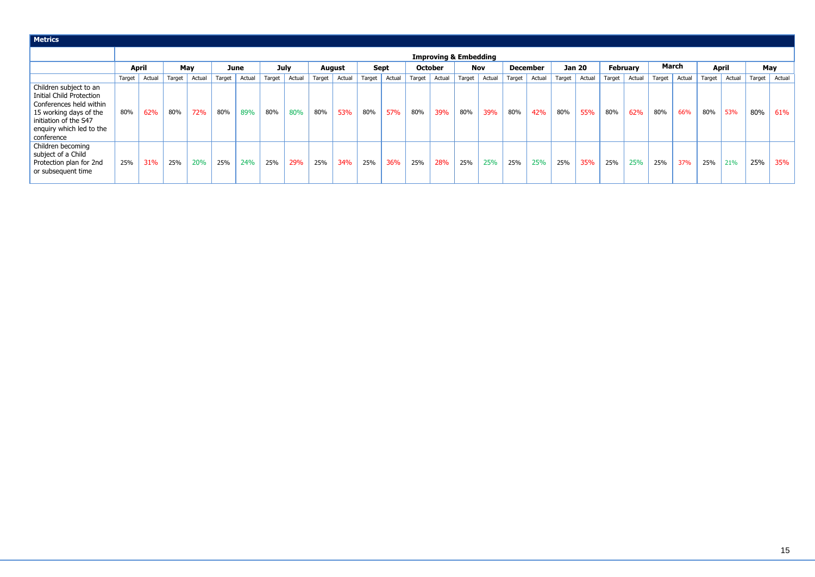| <b>Metrics</b>                                                                                                                                                                    |                                  |              |        |        |        |        |        |             |               |        |        |             |        |                |            |        |        |          |        |               |                 |        |        |              |        |              |        |        |
|-----------------------------------------------------------------------------------------------------------------------------------------------------------------------------------|----------------------------------|--------------|--------|--------|--------|--------|--------|-------------|---------------|--------|--------|-------------|--------|----------------|------------|--------|--------|----------|--------|---------------|-----------------|--------|--------|--------------|--------|--------------|--------|--------|
|                                                                                                                                                                                   | <b>Improving &amp; Embedding</b> |              |        |        |        |        |        |             |               |        |        |             |        |                |            |        |        |          |        |               |                 |        |        |              |        |              |        |        |
|                                                                                                                                                                                   |                                  | <b>April</b> |        | May    |        | June   |        | <b>July</b> | <b>August</b> |        |        | <b>Sept</b> |        | <b>October</b> | <b>Nov</b> |        |        | December |        | <b>Jan 20</b> | <b>February</b> |        |        | <b>March</b> |        | <b>April</b> |        | May    |
|                                                                                                                                                                                   | Target                           | Actual       | Target | Actual | Target | Actual | Target | Actual      | Target        | Actual | Target | Actual      | Target | Actual         | Target     | Actual | Target | Actual   | Target | Actual        | Target          | Actual | Target | Actual       | Target | Actual       | Target | Actual |
| Children subject to an<br><b>Initial Child Protection</b><br>Conferences held within<br>15 working days of the<br>initiation of the S47<br>enquiry which led to the<br>conference | 80%                              | 62%          | 80%    | 72%    | 80%    | 89%    | 80%    | 80%         | 80%           | 53%    | 80%    | 57%         | 80%    | 39%            | 80%        | 39%    | 80%    | 42%      | 80%    | 55%           | 80%             | 62%    | 80%    | 66%          | 80%    | 53%          | 80%    | 61%    |
| Children becoming<br>subject of a Child<br>Protection plan for 2nd<br>or subsequent time                                                                                          | 25%                              | 31%          | 25%    | 20%    | 25%    | 24%    | 25%    | 29%         | 25%           | 34%    | 25%    | 36%         | 25%    | 28%            | 25%        | 25%    | 25%    | 25%      | 25%    | 35%           | 25%             | 25%    | 25%    | 37%          | 25%    | 21%          | 25%    | 35%    |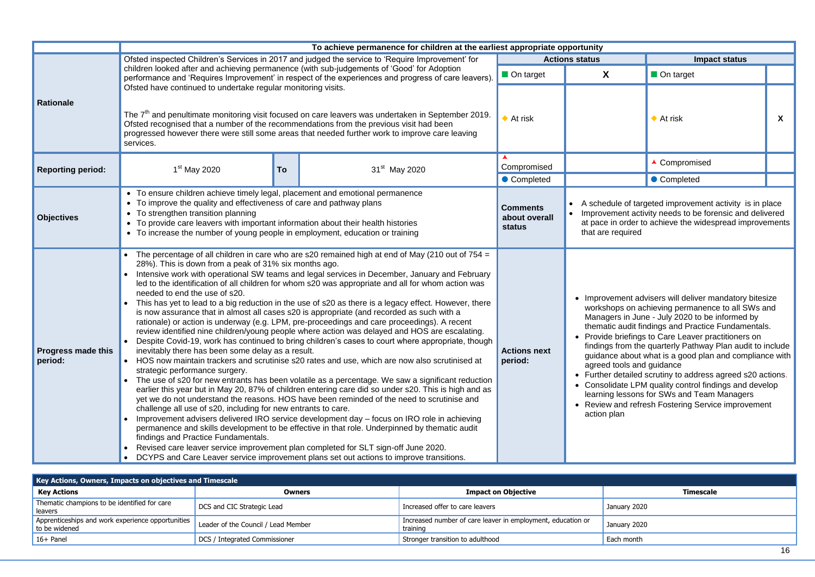| st appropriate opportunity      |                       |                      |   |  |  |  |  |  |  |  |
|---------------------------------|-----------------------|----------------------|---|--|--|--|--|--|--|--|
|                                 | <b>Actions status</b> | <b>Impact status</b> |   |  |  |  |  |  |  |  |
| On target                       | X                     | On target            |   |  |  |  |  |  |  |  |
| $\blacklozenge$ At risk         |                       | At risk              | X |  |  |  |  |  |  |  |
| $\blacktriangle$<br>Compromised |                       | ▲ Compromised        |   |  |  |  |  |  |  |  |
| • Completed                     |                       | Completed            |   |  |  |  |  |  |  |  |

Ile of targeted improvement activity is in place nent activity needs to be forensic and delivered order to achieve the widespread improvements equired

- ment advisers will deliver mandatory bitesize ps on achieving permanence to all SWs and is in June - July 2020 to be informed by audit findings and Practice Fundamentals. briefings to Care Leaver practitioners on from the quarterly Pathway Plan audit to include e about what is a good plan and compliance with ools and guidance
- detailed scrutiny to address agreed s20 actions. late LPM quality control findings and develop lessons for SWs and Team Managers and refresh Fostering Service improvement an

| <b>Timescale</b> |    |
|------------------|----|
| uary 2020        |    |
| uary 2020        |    |
| ch month         |    |
|                  | 16 |

|                                      |                                                                                                                                                                                                                                                                                                                                                                                                                                                                                                                                                                                                                                                                                                                                                                                                                                                                                                                                                                                                                                                                                                                                                                                                                                                                                                                                                                                                                                                                                                                                                                                                                                                                                                                                                                                                                                                                                                                                                     | To achieve permanence for children at the earliest appropriate opportunity |                                                                                                                                                                                                                                                    |                                                                                                                                                                                                                               |  |  |  |  |  |  |  |
|--------------------------------------|-----------------------------------------------------------------------------------------------------------------------------------------------------------------------------------------------------------------------------------------------------------------------------------------------------------------------------------------------------------------------------------------------------------------------------------------------------------------------------------------------------------------------------------------------------------------------------------------------------------------------------------------------------------------------------------------------------------------------------------------------------------------------------------------------------------------------------------------------------------------------------------------------------------------------------------------------------------------------------------------------------------------------------------------------------------------------------------------------------------------------------------------------------------------------------------------------------------------------------------------------------------------------------------------------------------------------------------------------------------------------------------------------------------------------------------------------------------------------------------------------------------------------------------------------------------------------------------------------------------------------------------------------------------------------------------------------------------------------------------------------------------------------------------------------------------------------------------------------------------------------------------------------------------------------------------------------------|----------------------------------------------------------------------------|----------------------------------------------------------------------------------------------------------------------------------------------------------------------------------------------------------------------------------------------------|-------------------------------------------------------------------------------------------------------------------------------------------------------------------------------------------------------------------------------|--|--|--|--|--|--|--|
|                                      | Ofsted inspected Children's Services in 2017 and judged the service to 'Require Improvement' for                                                                                                                                                                                                                                                                                                                                                                                                                                                                                                                                                                                                                                                                                                                                                                                                                                                                                                                                                                                                                                                                                                                                                                                                                                                                                                                                                                                                                                                                                                                                                                                                                                                                                                                                                                                                                                                    |                                                                            | <b>Actions status</b>                                                                                                                                                                                                                              | Impa                                                                                                                                                                                                                          |  |  |  |  |  |  |  |
|                                      | children looked after and achieving permanence (with sub-judgements of 'Good' for Adoption<br>performance and 'Requires Improvement' in respect of the experiences and progress of care leavers).                                                                                                                                                                                                                                                                                                                                                                                                                                                                                                                                                                                                                                                                                                                                                                                                                                                                                                                                                                                                                                                                                                                                                                                                                                                                                                                                                                                                                                                                                                                                                                                                                                                                                                                                                   | On target                                                                  | X                                                                                                                                                                                                                                                  | On target                                                                                                                                                                                                                     |  |  |  |  |  |  |  |
| <b>Rationale</b>                     | Ofsted have continued to undertake regular monitoring visits.<br>The 7 <sup>th</sup> and penultimate monitoring visit focused on care leavers was undertaken in September 2019.<br>Ofsted recognised that a number of the recommendations from the previous visit had been<br>progressed however there were still some areas that needed further work to improve care leaving<br>services.                                                                                                                                                                                                                                                                                                                                                                                                                                                                                                                                                                                                                                                                                                                                                                                                                                                                                                                                                                                                                                                                                                                                                                                                                                                                                                                                                                                                                                                                                                                                                          | $\bullet$ At risk                                                          |                                                                                                                                                                                                                                                    | $\blacklozenge$ At risk                                                                                                                                                                                                       |  |  |  |  |  |  |  |
| <b>Reporting period:</b>             | 31 <sup>st</sup> May 2020<br>1 <sup>st</sup> May 2020<br>To                                                                                                                                                                                                                                                                                                                                                                                                                                                                                                                                                                                                                                                                                                                                                                                                                                                                                                                                                                                                                                                                                                                                                                                                                                                                                                                                                                                                                                                                                                                                                                                                                                                                                                                                                                                                                                                                                         | Compromised                                                                |                                                                                                                                                                                                                                                    | ▲ Compromised                                                                                                                                                                                                                 |  |  |  |  |  |  |  |
|                                      |                                                                                                                                                                                                                                                                                                                                                                                                                                                                                                                                                                                                                                                                                                                                                                                                                                                                                                                                                                                                                                                                                                                                                                                                                                                                                                                                                                                                                                                                                                                                                                                                                                                                                                                                                                                                                                                                                                                                                     | • Completed                                                                |                                                                                                                                                                                                                                                    | • Completed                                                                                                                                                                                                                   |  |  |  |  |  |  |  |
| <b>Objectives</b>                    | • To ensure children achieve timely legal, placement and emotional permanence<br>• To improve the quality and effectiveness of care and pathway plans<br>• To strengthen transition planning<br>• To provide care leavers with important information about their health histories<br>• To increase the number of young people in employment, education or training                                                                                                                                                                                                                                                                                                                                                                                                                                                                                                                                                                                                                                                                                                                                                                                                                                                                                                                                                                                                                                                                                                                                                                                                                                                                                                                                                                                                                                                                                                                                                                                  | <b>Comments</b><br>about overall<br>status                                 | A schedule of targeted improvemen<br>Improvement activity needs to be fo<br>that are required                                                                                                                                                      | at pace in order to achieve the wide                                                                                                                                                                                          |  |  |  |  |  |  |  |
| <b>Progress made this</b><br>period: | The percentage of all children in care who are s20 remained high at end of May (210 out of $754 =$<br>28%). This is down from a peak of 31% six months ago.<br>Intensive work with operational SW teams and legal services in December, January and February<br>led to the identification of all children for whom s20 was appropriate and all for whom action was<br>needed to end the use of s20.<br>This has yet to lead to a big reduction in the use of s20 as there is a legacy effect. However, there<br>$\bullet$<br>is now assurance that in almost all cases s20 is appropriate (and recorded as such with a<br>rationale) or action is underway (e.g. LPM, pre-proceedings and care proceedings). A recent<br>review identified nine children/young people where action was delayed and HOS are escalating.<br>Despite Covid-19, work has continued to bring children's cases to court where appropriate, though<br>inevitably there has been some delay as a result.<br>HOS now maintain trackers and scrutinise s20 rates and use, which are now also scrutinised at<br>$\bullet$<br>strategic performance surgery.<br>• The use of s20 for new entrants has been volatile as a percentage. We saw a significant reduction<br>earlier this year but in May 20, 87% of children entering care did so under s20. This is high and as<br>yet we do not understand the reasons. HOS have been reminded of the need to scrutinise and<br>challenge all use of s20, including for new entrants to care.<br>Improvement advisers delivered IRO service development day - focus on IRO role in achieving<br>$\bullet$<br>permanence and skills development to be effective in that role. Underpinned by thematic audit<br>findings and Practice Fundamentals.<br>Revised care leaver service improvement plan completed for SLT sign-off June 2020.<br>DCYPS and Care Leaver service improvement plans set out actions to improve transitions. | <b>Actions next</b><br>period:                                             | • Improvement advisers will deliver r<br>• Provide briefings to Care Leaver p<br>agreed tools and guidance<br>• Further detailed scrutiny to addres<br>• Consolidate LPM quality control fin<br>• Review and refresh Fostering Serv<br>action plan | workshops on achieving permaner<br>Managers in June - July 2020 to be<br>thematic audit findings and Practic<br>findings from the quarterly Pathway<br>guidance about what is a good pla<br>learning lessons for SWs and Tear |  |  |  |  |  |  |  |

| Key Actions, Owners, Impacts on objectives and Timescale           |                                     |                                                                         |              |  |  |  |  |  |  |  |  |  |  |
|--------------------------------------------------------------------|-------------------------------------|-------------------------------------------------------------------------|--------------|--|--|--|--|--|--|--|--|--|--|
| <b>Key Actions</b>                                                 | <b>Owners</b>                       | <b>Impact on Objective</b>                                              | Timescale    |  |  |  |  |  |  |  |  |  |  |
| Thematic champions to be identified for care<br>leavers            | DCS and CIC Strategic Lead          | Increased offer to care leavers                                         | January 2020 |  |  |  |  |  |  |  |  |  |  |
| Apprenticeships and work experience opportunities<br>to be widened | Leader of the Council / Lead Member | Increased number of care leaver in employment, education or<br>training | January 2020 |  |  |  |  |  |  |  |  |  |  |
| $16+$ Panel                                                        | DCS / Integrated Commissioner       | Stronger transition to adulthood                                        | Each month   |  |  |  |  |  |  |  |  |  |  |